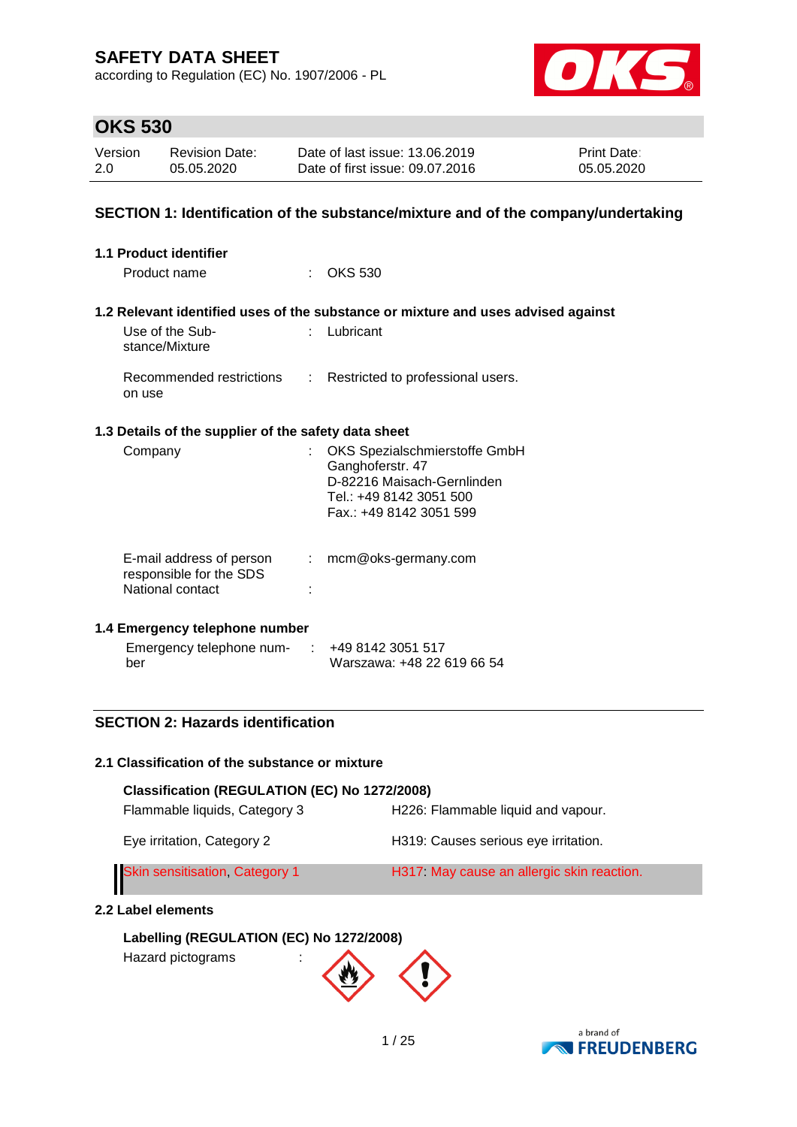according to Regulation (EC) No. 1907/2006 - PL



## **OKS 530**

| Version | Revision Date: | Date of last issue: 13.06.2019  | <b>Print Date:</b> |
|---------|----------------|---------------------------------|--------------------|
| 2.0     | 05.05.2020     | Date of first issue: 09.07.2016 | 05.05.2020         |

### **SECTION 1: Identification of the substance/mixture and of the company/undertaking**

| <b>1.1 Product identifier</b>                                           |    |                                                                                                                                       |
|-------------------------------------------------------------------------|----|---------------------------------------------------------------------------------------------------------------------------------------|
| Product name                                                            |    | <b>OKS 530</b>                                                                                                                        |
|                                                                         |    | 1.2 Relevant identified uses of the substance or mixture and uses advised against                                                     |
| Use of the Sub-<br>stance/Mixture                                       |    | Lubricant                                                                                                                             |
| Recommended restrictions<br>on use                                      | t. | Restricted to professional users.                                                                                                     |
| 1.3 Details of the supplier of the safety data sheet                    |    |                                                                                                                                       |
| Company                                                                 |    | OKS Spezialschmierstoffe GmbH<br>Ganghoferstr. 47<br>D-82216 Maisach-Gernlinden<br>Tel.: +49 8142 3051 500<br>Fax.: +49 8142 3051 599 |
| E-mail address of person<br>responsible for the SDS<br>National contact | ÷  | mcm@oks-germany.com                                                                                                                   |

### **1.4 Emergency telephone number**

| Emergency telephone num- | $\div$ +49 8142 3051 517   |
|--------------------------|----------------------------|
| ber                      | Warszawa: +48 22 619 66 54 |

### **SECTION 2: Hazards identification**

#### **2.1 Classification of the substance or mixture**

| Classification (REGULATION (EC) No 1272/2008) |                                           |  |  |  |
|-----------------------------------------------|-------------------------------------------|--|--|--|
| Flammable liquids, Category 3                 | H226: Flammable liquid and vapour.        |  |  |  |
| Eye irritation, Category 2                    | H319: Causes serious eye irritation.      |  |  |  |
| Skin sensitisation, Category 1                | H317 May cause an allergic skin reaction. |  |  |  |

#### **2.2 Label elements**

## **Labelling (REGULATION (EC) No 1272/2008)**

Hazard pictograms :



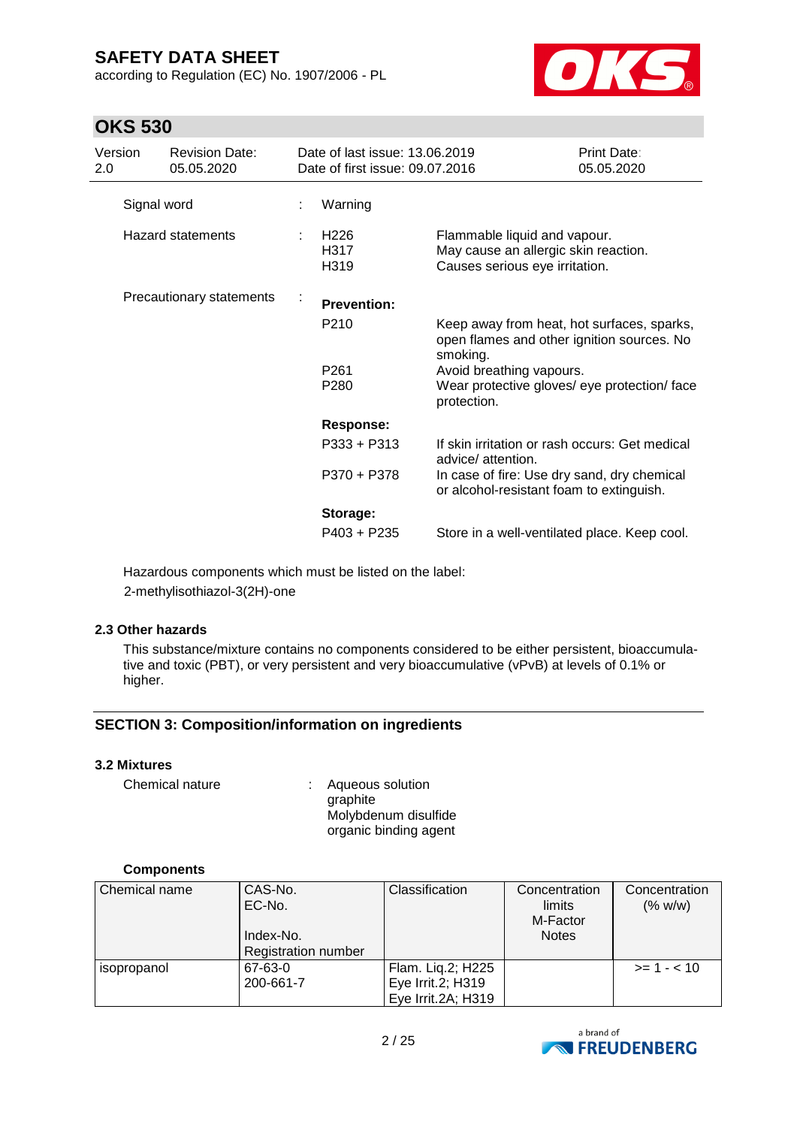according to Regulation (EC) No. 1907/2006 - PL



## **OKS 530**

| Version<br>2.0 | <b>Revision Date:</b><br>05.05.2020 |                | Date of last issue: 13.06.2019<br>Date of first issue: 09.07.2016 | <b>Print Date:</b><br>05.05.2020                                                                       |                                              |
|----------------|-------------------------------------|----------------|-------------------------------------------------------------------|--------------------------------------------------------------------------------------------------------|----------------------------------------------|
|                | Signal word                         |                | Warning                                                           |                                                                                                        |                                              |
|                | <b>Hazard statements</b>            | t.             | H <sub>226</sub><br>H317<br>H319                                  | Flammable liquid and vapour.<br>May cause an allergic skin reaction.<br>Causes serious eye irritation. |                                              |
|                | Precautionary statements            | $\blacksquare$ | <b>Prevention:</b>                                                |                                                                                                        |                                              |
|                |                                     |                | P210                                                              | open flames and other ignition sources. No<br>smoking.                                                 | Keep away from heat, hot surfaces, sparks,   |
|                |                                     |                | P <sub>261</sub><br>P <sub>280</sub>                              | Avoid breathing vapours.<br>protection.                                                                | Wear protective gloves/ eye protection/ face |
|                |                                     |                | <b>Response:</b>                                                  |                                                                                                        |                                              |
|                |                                     |                | $P333 + P313$                                                     | If skin irritation or rash occurs: Get medical<br>advice/ attention.                                   |                                              |
|                |                                     |                | P370 + P378                                                       | In case of fire: Use dry sand, dry chemical<br>or alcohol-resistant foam to extinguish.                |                                              |
|                |                                     |                | Storage:                                                          |                                                                                                        |                                              |
|                |                                     |                | $P403 + P235$                                                     | Store in a well-ventilated place. Keep cool.                                                           |                                              |

Hazardous components which must be listed on the label: 2-methylisothiazol-3(2H)-one

### **2.3 Other hazards**

This substance/mixture contains no components considered to be either persistent, bioaccumulative and toxic (PBT), or very persistent and very bioaccumulative (vPvB) at levels of 0.1% or higher.

### **SECTION 3: Composition/information on ingredients**

### **3.2 Mixtures**

Chemical nature : Aqueous solution graphite Molybdenum disulfide organic binding agent

### **Components**

| Chemical name | CAS-No.                    | Classification     | Concentration | Concentration |
|---------------|----------------------------|--------------------|---------------|---------------|
|               | EC-No.                     |                    | limits        | (% w/w)       |
|               |                            |                    | M-Factor      |               |
|               | Index-No.                  |                    | <b>Notes</b>  |               |
|               | <b>Registration number</b> |                    |               |               |
| isopropanol   | 67-63-0                    | Flam. Liq.2; H225  |               | $>= 1 - < 10$ |
|               | 200-661-7                  | Eye Irrit.2; H319  |               |               |
|               |                            | Eye Irrit.2A; H319 |               |               |

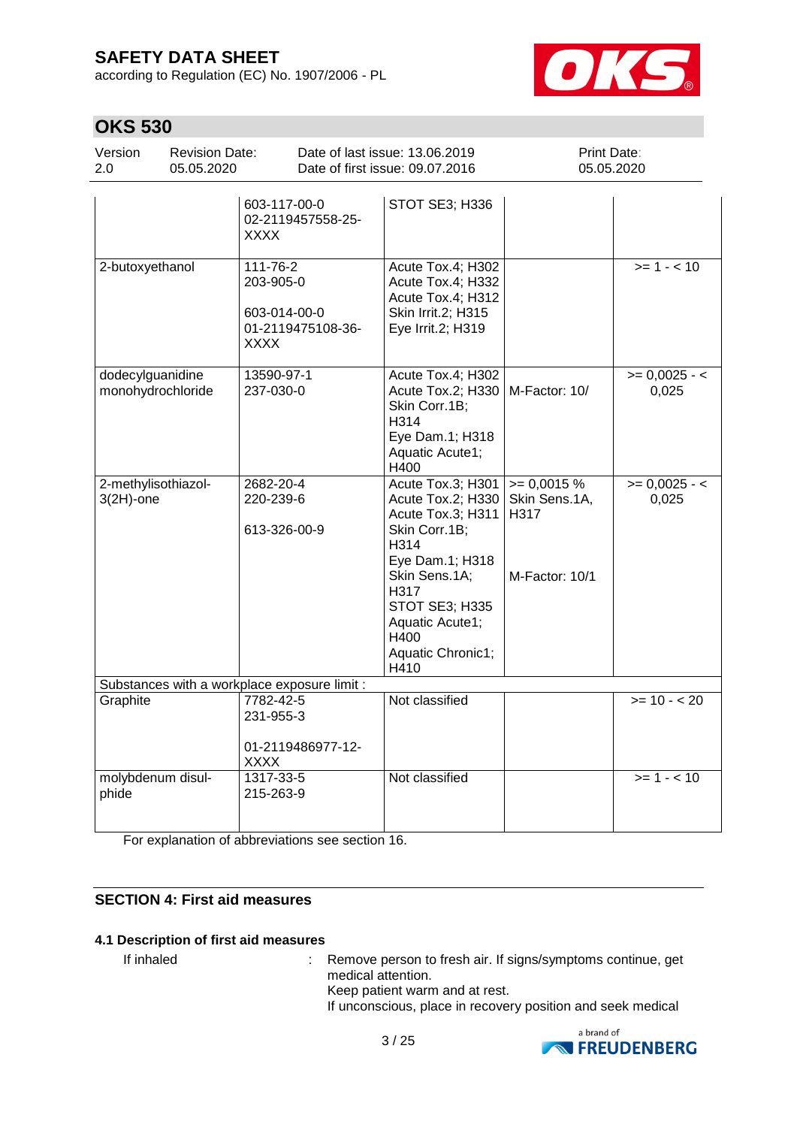according to Regulation (EC) No. 1907/2006 - PL



## **OKS 530**

| Version<br>2.0                        | <b>Revision Date:</b><br>05.05.2020 |                                                                    | Date of last issue: 13.06.2019<br>Date of first issue: 09.07.2016                                                                                                                                          | Print Date:<br>05.05.2020                               |                          |
|---------------------------------------|-------------------------------------|--------------------------------------------------------------------|------------------------------------------------------------------------------------------------------------------------------------------------------------------------------------------------------------|---------------------------------------------------------|--------------------------|
|                                       |                                     | 603-117-00-0<br>02-2119457558-25-<br>XXXX                          | STOT SE3; H336                                                                                                                                                                                             |                                                         |                          |
| 2-butoxyethanol                       |                                     | 111-76-2<br>203-905-0<br>603-014-00-0<br>01-2119475108-36-<br>XXXX | Acute Tox.4; H302<br>Acute Tox.4; H332<br>Acute Tox.4; H312<br>Skin Irrit.2; H315<br>Eye Irrit.2; H319                                                                                                     |                                                         | $>= 1 - 10$              |
| dodecylguanidine<br>monohydrochloride |                                     | 13590-97-1<br>237-030-0                                            | Acute Tox.4; H302<br>Acute Tox.2; H330<br>Skin Corr.1B;<br>H314<br>Eye Dam.1; H318<br>Aquatic Acute1;<br>H400                                                                                              | M-Factor: 10/                                           | $>= 0,0025 - 1$<br>0,025 |
| 2-methylisothiazol-<br>$3(2H)$ -one   |                                     | 2682-20-4<br>220-239-6<br>613-326-00-9                             | Acute Tox.3; H301<br>Acute Tox.2; H330<br>Acute Tox.3; H311<br>Skin Corr.1B;<br>H314<br>Eye Dam.1; H318<br>Skin Sens.1A;<br>H317<br>STOT SE3; H335<br>Aquatic Acute1;<br>H400<br>Aquatic Chronic1;<br>H410 | $= 0,0015 %$<br>Skin Sens.1A,<br>H317<br>M-Factor: 10/1 | $>= 0,0025 - 5$<br>0,025 |
|                                       |                                     | Substances with a workplace exposure limit :                       |                                                                                                                                                                                                            |                                                         |                          |
| Graphite                              |                                     | 7782-42-5<br>231-955-3<br>01-2119486977-12-<br><b>XXXX</b>         | Not classified                                                                                                                                                                                             |                                                         | $>= 10 - 20$             |
| molybdenum disul-<br>phide            |                                     | 1317-33-5<br>215-263-9                                             | Not classified                                                                                                                                                                                             |                                                         | $>= 1 - 10$              |

For explanation of abbreviations see section 16.

## **SECTION 4: First aid measures**

### **4.1 Description of first aid measures**

If inhaled : Remove person to fresh air. If signs/symptoms continue, get medical attention. Keep patient warm and at rest. If unconscious, place in recovery position and seek medical

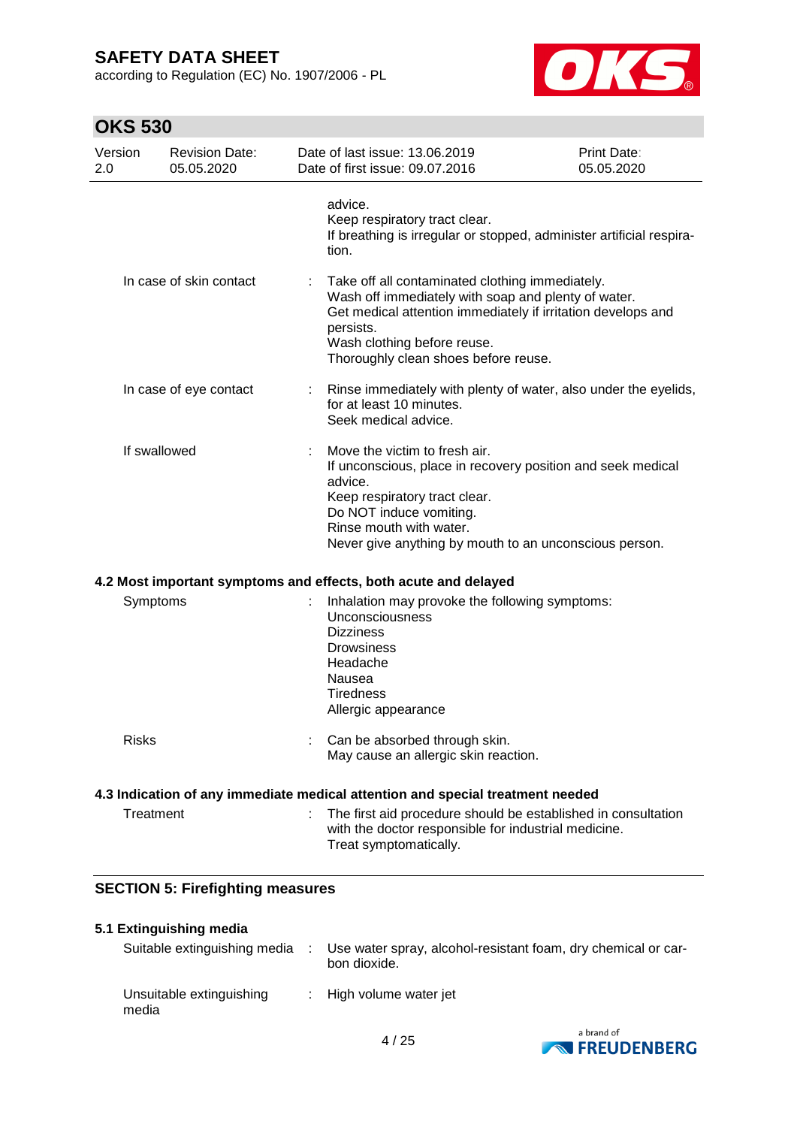according to Regulation (EC) No. 1907/2006 - PL



# **OKS 530**

| Version<br>2.0          | <b>Revision Date:</b><br>05.05.2020 |                                                                                                                                                                                                                                                          | Date of last issue: 13.06.2019<br>Date of first issue: 09.07.2016                                                                                                                                                                             | <b>Print Date:</b><br>05.05.2020                                     |
|-------------------------|-------------------------------------|----------------------------------------------------------------------------------------------------------------------------------------------------------------------------------------------------------------------------------------------------------|-----------------------------------------------------------------------------------------------------------------------------------------------------------------------------------------------------------------------------------------------|----------------------------------------------------------------------|
|                         |                                     | advice.<br>tion.                                                                                                                                                                                                                                         | Keep respiratory tract clear.                                                                                                                                                                                                                 | If breathing is irregular or stopped, administer artificial respira- |
| In case of skin contact |                                     | ÷<br>persists.                                                                                                                                                                                                                                           | Take off all contaminated clothing immediately.<br>Wash off immediately with soap and plenty of water.<br>Get medical attention immediately if irritation develops and<br>Wash clothing before reuse.<br>Thoroughly clean shoes before reuse. |                                                                      |
| In case of eye contact  |                                     |                                                                                                                                                                                                                                                          | for at least 10 minutes.<br>Seek medical advice.                                                                                                                                                                                              | Rinse immediately with plenty of water, also under the eyelids,      |
| If swallowed            |                                     | Move the victim to fresh air.<br>If unconscious, place in recovery position and seek medical<br>advice.<br>Keep respiratory tract clear.<br>Do NOT induce vomiting.<br>Rinse mouth with water.<br>Never give anything by mouth to an unconscious person. |                                                                                                                                                                                                                                               |                                                                      |
|                         |                                     |                                                                                                                                                                                                                                                          | 4.2 Most important symptoms and effects, both acute and delayed                                                                                                                                                                               |                                                                      |
| Symptoms                |                                     | Inhalation may provoke the following symptoms:<br>÷<br>Unconsciousness<br><b>Dizziness</b><br>Drowsiness<br>Headache<br>Nausea<br><b>Tiredness</b><br>Allergic appearance                                                                                |                                                                                                                                                                                                                                               |                                                                      |
| <b>Risks</b>            |                                     | ÷.                                                                                                                                                                                                                                                       | Can be absorbed through skin.<br>May cause an allergic skin reaction.                                                                                                                                                                         |                                                                      |
|                         |                                     |                                                                                                                                                                                                                                                          | 4.3 Indication of any immediate medical attention and special treatment needed                                                                                                                                                                |                                                                      |
| Treatment               |                                     |                                                                                                                                                                                                                                                          | The first aid procedure should be established in consultation<br>with the doctor responsible for industrial medicine.                                                                                                                         |                                                                      |

# **SECTION 5: Firefighting measures**

#### **5.1 Extinguishing media**

| Suitable extinguishing media      | Use water spray, alcohol-resistant foam, dry chemical or car-<br>bon dioxide. |
|-----------------------------------|-------------------------------------------------------------------------------|
| Unsuitable extinguishing<br>media | : High volume water jet                                                       |

Treat symptomatically.

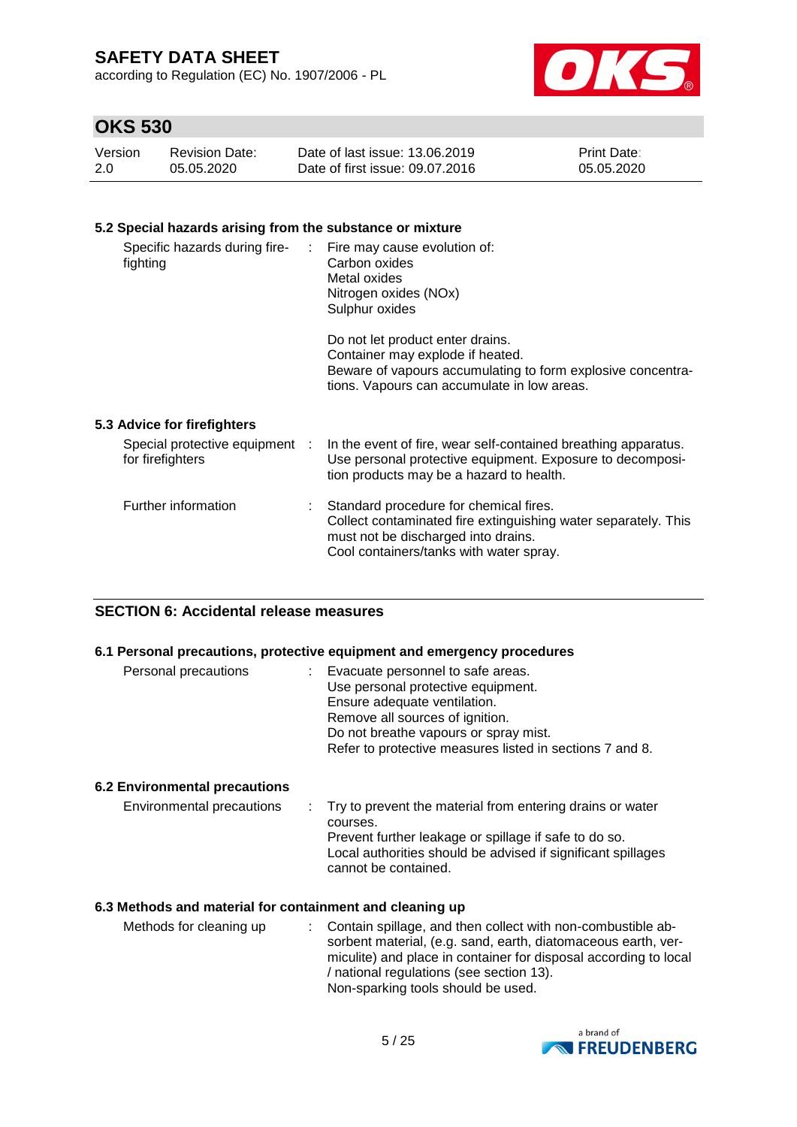according to Regulation (EC) No. 1907/2006 - PL



# **OKS 530**

| Version | <b>Revision Date:</b> | Date of last issue: 13.06.2019  | <b>Print Date:</b> |
|---------|-----------------------|---------------------------------|--------------------|
| 2.0     | 05.05.2020            | Date of first issue: 09.07.2016 | 05.05.2020         |

#### **5.2 Special hazards arising from the substance or mixture**

| Specific hazards during fire-<br>fighting          | t in | Fire may cause evolution of:<br>Carbon oxides<br>Metal oxides<br>Nitrogen oxides (NOx)<br>Sulphur oxides<br>Do not let product enter drains.<br>Container may explode if heated.<br>Beware of vapours accumulating to form explosive concentra-<br>tions. Vapours can accumulate in low areas. |
|----------------------------------------------------|------|------------------------------------------------------------------------------------------------------------------------------------------------------------------------------------------------------------------------------------------------------------------------------------------------|
| 5.3 Advice for firefighters                        |      |                                                                                                                                                                                                                                                                                                |
| Special protective equipment :<br>for firefighters |      | In the event of fire, wear self-contained breathing apparatus.<br>Use personal protective equipment. Exposure to decomposi-<br>tion products may be a hazard to health.                                                                                                                        |
| Further information                                |      | Standard procedure for chemical fires.<br>Collect contaminated fire extinguishing water separately. This<br>must not be discharged into drains.<br>Cool containers/tanks with water spray.                                                                                                     |

### **SECTION 6: Accidental release measures**

### **6.1 Personal precautions, protective equipment and emergency procedures**

| Personal precautions | Evacuate personnel to safe areas.<br>t i                 |
|----------------------|----------------------------------------------------------|
|                      | Use personal protective equipment.                       |
|                      | Ensure adequate ventilation.                             |
|                      | Remove all sources of ignition.                          |
|                      | Do not breathe vapours or spray mist.                    |
|                      | Refer to protective measures listed in sections 7 and 8. |
|                      |                                                          |

#### **6.2 Environmental precautions**

| Environmental precautions | . Try to prevent the material from entering drains or water  |
|---------------------------|--------------------------------------------------------------|
|                           | courses.                                                     |
|                           | Prevent further leakage or spillage if safe to do so.        |
|                           | Local authorities should be advised if significant spillages |
|                           | cannot be contained.                                         |

#### **6.3 Methods and material for containment and cleaning up**

| : Contain spillage, and then collect with non-combustible ab-    |
|------------------------------------------------------------------|
| sorbent material, (e.g. sand, earth, diatomaceous earth, ver-    |
| miculite) and place in container for disposal according to local |
| / national regulations (see section 13).                         |
| Non-sparking tools should be used.                               |
|                                                                  |

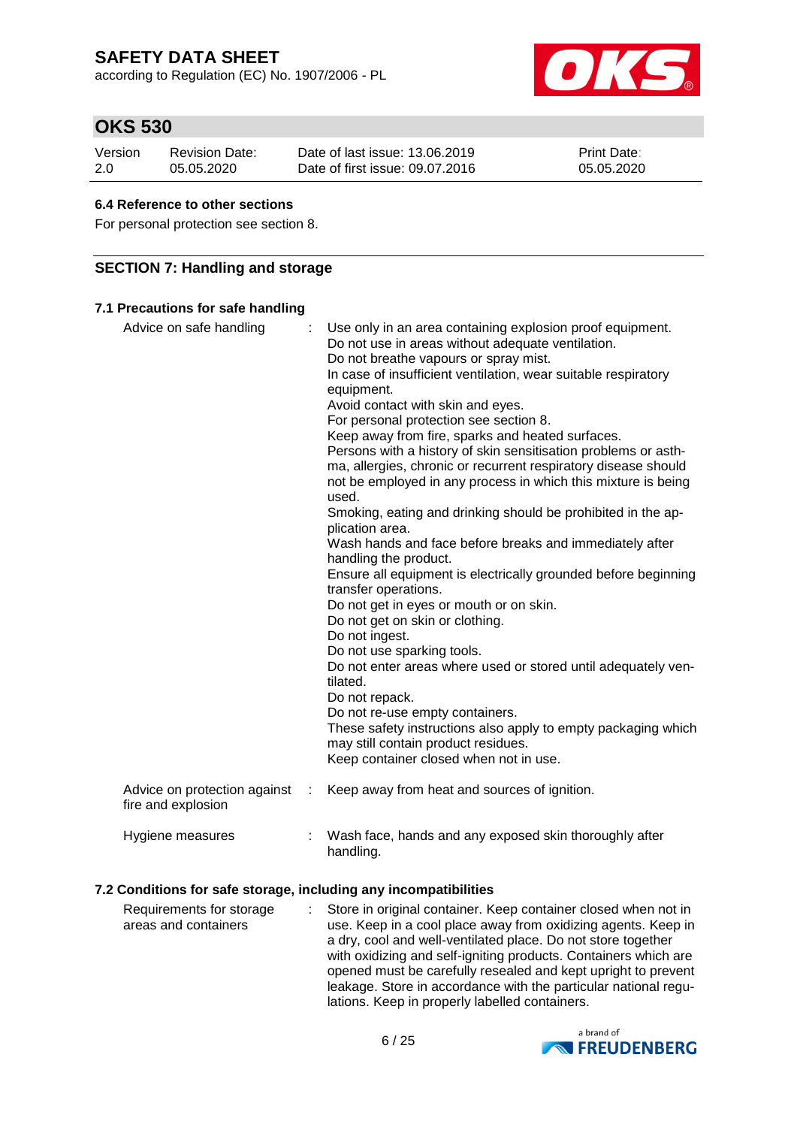according to Regulation (EC) No. 1907/2006 - PL



# **OKS 530**

| Version | Revision Date: | Date of last issue: 13.06.2019  | <b>Print Date:</b> |
|---------|----------------|---------------------------------|--------------------|
| 2.0     | 05.05.2020     | Date of first issue: 09.07.2016 | 05.05.2020         |

#### **6.4 Reference to other sections**

For personal protection see section 8.

### **SECTION 7: Handling and storage**

## **7.1 Precautions for safe handling**

| Advice on safe handling                            |   | Use only in an area containing explosion proof equipment.<br>Do not use in areas without adequate ventilation.<br>Do not breathe vapours or spray mist.<br>In case of insufficient ventilation, wear suitable respiratory<br>equipment.<br>Avoid contact with skin and eyes.<br>For personal protection see section 8.<br>Keep away from fire, sparks and heated surfaces.<br>Persons with a history of skin sensitisation problems or asth-<br>ma, allergies, chronic or recurrent respiratory disease should<br>not be employed in any process in which this mixture is being<br>used.<br>Smoking, eating and drinking should be prohibited in the ap-<br>plication area.<br>Wash hands and face before breaks and immediately after<br>handling the product.<br>Ensure all equipment is electrically grounded before beginning<br>transfer operations.<br>Do not get in eyes or mouth or on skin.<br>Do not get on skin or clothing.<br>Do not ingest.<br>Do not use sparking tools.<br>Do not enter areas where used or stored until adequately ven-<br>tilated.<br>Do not repack.<br>Do not re-use empty containers.<br>These safety instructions also apply to empty packaging which<br>may still contain product residues.<br>Keep container closed when not in use. |
|----------------------------------------------------|---|-----------------------------------------------------------------------------------------------------------------------------------------------------------------------------------------------------------------------------------------------------------------------------------------------------------------------------------------------------------------------------------------------------------------------------------------------------------------------------------------------------------------------------------------------------------------------------------------------------------------------------------------------------------------------------------------------------------------------------------------------------------------------------------------------------------------------------------------------------------------------------------------------------------------------------------------------------------------------------------------------------------------------------------------------------------------------------------------------------------------------------------------------------------------------------------------------------------------------------------------------------------------------------|
| Advice on protection against<br>fire and explosion | ÷ | Keep away from heat and sources of ignition.                                                                                                                                                                                                                                                                                                                                                                                                                                                                                                                                                                                                                                                                                                                                                                                                                                                                                                                                                                                                                                                                                                                                                                                                                                |
| Hygiene measures                                   |   | Wash face, hands and any exposed skin thoroughly after<br>handling.                                                                                                                                                                                                                                                                                                                                                                                                                                                                                                                                                                                                                                                                                                                                                                                                                                                                                                                                                                                                                                                                                                                                                                                                         |

### **7.2 Conditions for safe storage, including any incompatibilities**

| Requirements for storage | Store in original container. Keep container closed when not in  |
|--------------------------|-----------------------------------------------------------------|
| areas and containers     | use. Keep in a cool place away from oxidizing agents. Keep in   |
|                          | a dry, cool and well-ventilated place. Do not store together    |
|                          | with oxidizing and self-igniting products. Containers which are |
|                          | opened must be carefully resealed and kept upright to prevent   |
|                          | leakage. Store in accordance with the particular national regu- |
|                          | lations. Keep in properly labelled containers.                  |

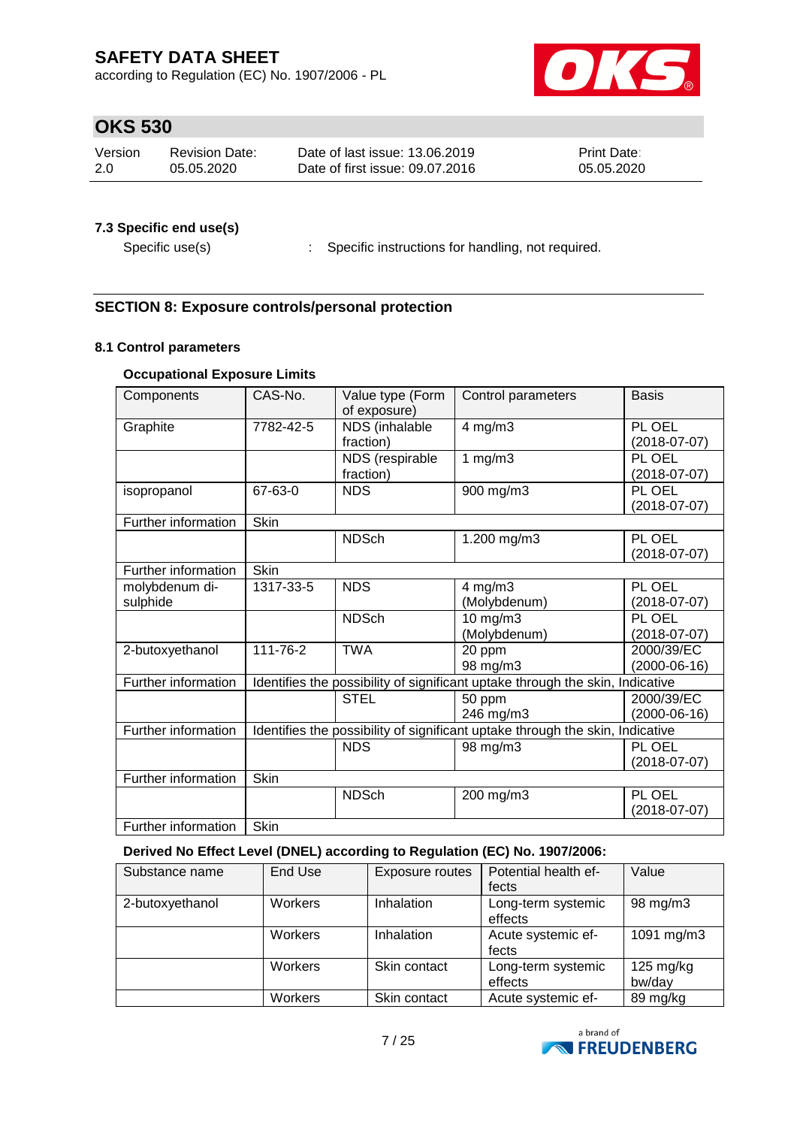according to Regulation (EC) No. 1907/2006 - PL



# **OKS 530**

| Version | Revision Date: | Date of last issue: 13.06.2019  | <b>Print Date:</b> |
|---------|----------------|---------------------------------|--------------------|
| 2.0     | 05.05.2020     | Date of first issue: 09.07.2016 | 05.05.2020         |

### **7.3 Specific end use(s)**

Specific use(s) : Specific instructions for handling, not required.

## **SECTION 8: Exposure controls/personal protection**

#### **8.1 Control parameters**

## **Occupational Exposure Limits**

| Components                 | CAS-No.     | Value type (Form<br>of exposure) | Control parameters                                                            | <b>Basis</b>                 |
|----------------------------|-------------|----------------------------------|-------------------------------------------------------------------------------|------------------------------|
| Graphite                   | 7782-42-5   | NDS (inhalable<br>fraction)      | $4$ mg/m $3$                                                                  | PL OEL<br>$(2018-07-07)$     |
|                            |             | NDS (respirable<br>fraction)     | 1 $mg/m3$                                                                     | PL OEL<br>$(2018-07-07)$     |
| isopropanol                | 67-63-0     | <b>NDS</b>                       | 900 mg/m3                                                                     | PL OEL<br>$(2018-07-07)$     |
| Further information        | Skin        |                                  |                                                                               |                              |
|                            |             | <b>NDSch</b>                     | 1.200 mg/m3                                                                   | PL OEL<br>$(2018-07-07)$     |
| Further information        | Skin        |                                  |                                                                               |                              |
| molybdenum di-<br>sulphide | 1317-33-5   | <b>NDS</b>                       | $4$ mg/m $3$<br>(Molybdenum)                                                  | PL OEL<br>$(2018-07-07)$     |
|                            |             | <b>NDSch</b>                     | $10$ mg/m $3$<br>(Molybdenum)                                                 | PL OEL<br>$(2018-07-07)$     |
| 2-butoxyethanol            | 111-76-2    | <b>TWA</b>                       | 20 ppm<br>98 mg/m3                                                            | 2000/39/EC<br>$(2000-06-16)$ |
| Further information        |             |                                  | Identifies the possibility of significant uptake through the skin, Indicative |                              |
|                            |             | <b>STEL</b>                      | 50 ppm<br>246 mg/m3                                                           | 2000/39/EC<br>$(2000-06-16)$ |
| Further information        |             |                                  | Identifies the possibility of significant uptake through the skin, Indicative |                              |
|                            |             | <b>NDS</b>                       | 98 mg/m3                                                                      | PL OEL<br>$(2018-07-07)$     |
| Further information        | <b>Skin</b> |                                  |                                                                               |                              |
|                            |             | <b>NDSch</b>                     | 200 mg/m3                                                                     | PL OEL<br>$(2018-07-07)$     |
| Further information        | <b>Skin</b> |                                  |                                                                               |                              |

**Derived No Effect Level (DNEL) according to Regulation (EC) No. 1907/2006:**

| Substance name  | End Use | Exposure routes | Potential health ef-<br>fects | Value                         |
|-----------------|---------|-----------------|-------------------------------|-------------------------------|
| 2-butoxyethanol | Workers | Inhalation      | Long-term systemic<br>effects | 98 mg/m3                      |
|                 | Workers | Inhalation      | Acute systemic ef-<br>fects   | 1091 mg/m3                    |
|                 | Workers | Skin contact    | Long-term systemic<br>effects | $125 \text{ mg/kg}$<br>bw/day |
|                 | Workers | Skin contact    | Acute systemic ef-            | 89 mg/kg                      |

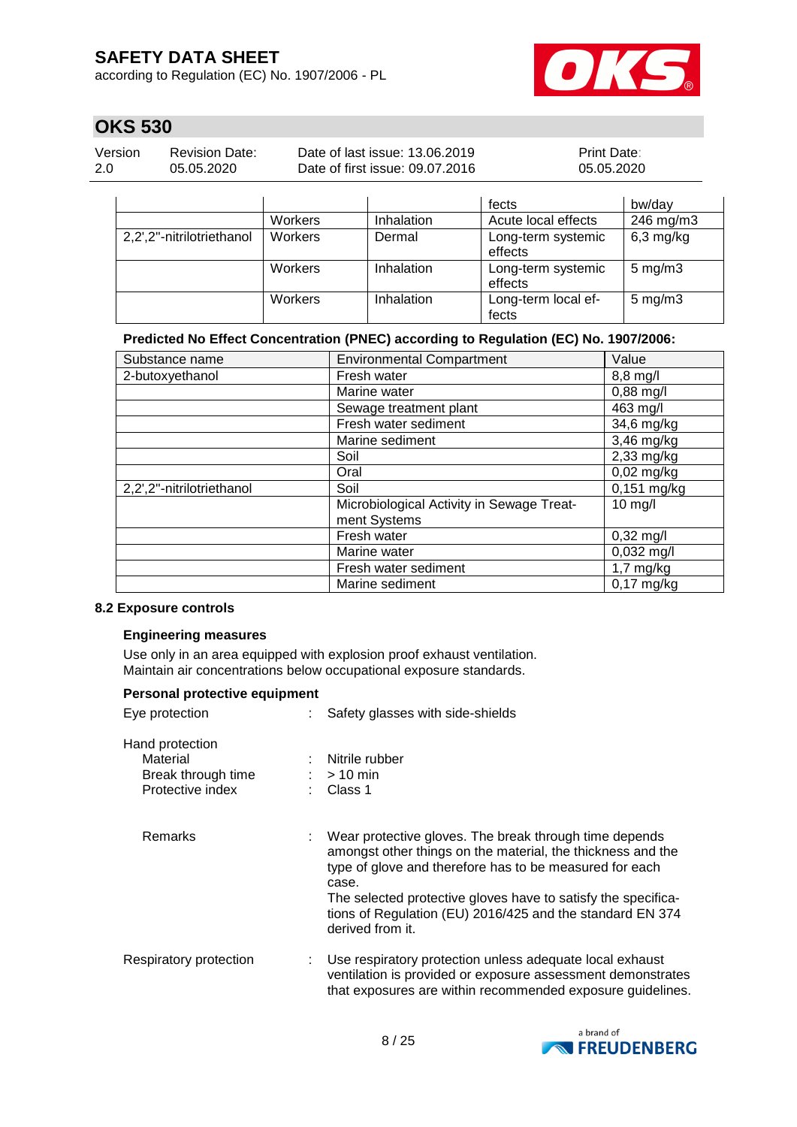according to Regulation (EC) No. 1907/2006 - PL



## **OKS 530**

| Version | Revision Date: | Date of last issue: 13.06.2019  | <b>Print Date:</b> |
|---------|----------------|---------------------------------|--------------------|
| 2.0     | 05.05.2020     | Date of first issue: 09.07.2016 | 05.05.2020         |

|                           |                |            | fects                         | bw/day             |
|---------------------------|----------------|------------|-------------------------------|--------------------|
|                           | Workers        | Inhalation | Acute local effects           | 246 mg/m3          |
| 2,2',2"-nitrilotriethanol | <b>Workers</b> | Dermal     | Long-term systemic<br>effects | $6,3$ mg/kg        |
|                           | Workers        | Inhalation | Long-term systemic<br>effects | $5 \text{ mg/m}$ 3 |
|                           | Workers        | Inhalation | Long-term local ef-<br>fects  | $5 \text{ mg/m}$ 3 |

#### **Predicted No Effect Concentration (PNEC) according to Regulation (EC) No. 1907/2006:**

| Substance name            | <b>Environmental Compartment</b><br>Value |                           |
|---------------------------|-------------------------------------------|---------------------------|
| 2-butoxyethanol           | Fresh water                               | 8,8 mg/l                  |
|                           | Marine water                              | $0,88 \text{ mg/l}$       |
|                           | Sewage treatment plant                    | 463 mg/l                  |
|                           | Fresh water sediment                      | 34,6 mg/kg                |
|                           | Marine sediment                           | $3,46$ mg/kg              |
|                           | Soil                                      | $2,33$ mg/kg              |
|                           | Oral                                      | $0,02$ mg/kg              |
| 2,2',2"-nitrilotriethanol | Soil                                      | $0,151$ mg/kg             |
|                           | Microbiological Activity in Sewage Treat- | $10$ mg/l                 |
|                           | ment Systems                              |                           |
|                           | Fresh water                               | $0,32 \text{ mg/l}$       |
|                           | Marine water                              | $0,032$ mg/l              |
|                           | Fresh water sediment                      | $1,7$ mg/kg               |
|                           | Marine sediment                           | $\overline{0}$ , 17 mg/kg |

### **8.2 Exposure controls**

#### **Engineering measures**

Use only in an area equipped with explosion proof exhaust ventilation. Maintain air concentrations below occupational exposure standards.

| Personal protective equipment                                         |                                                                                                                                                                                                                                                                                                                                             |  |  |
|-----------------------------------------------------------------------|---------------------------------------------------------------------------------------------------------------------------------------------------------------------------------------------------------------------------------------------------------------------------------------------------------------------------------------------|--|--|
| Eye protection                                                        | Safety glasses with side-shields                                                                                                                                                                                                                                                                                                            |  |  |
| Hand protection<br>Material<br>Break through time<br>Protective index | Nitrile rubber<br>$:$ > 10 min<br>$\therefore$ Class 1                                                                                                                                                                                                                                                                                      |  |  |
| Remarks                                                               | Wear protective gloves. The break through time depends<br>amongst other things on the material, the thickness and the<br>type of glove and therefore has to be measured for each<br>case.<br>The selected protective gloves have to satisfy the specifica-<br>tions of Regulation (EU) 2016/425 and the standard EN 374<br>derived from it. |  |  |
| Respiratory protection                                                | Use respiratory protection unless adequate local exhaust<br>ventilation is provided or exposure assessment demonstrates<br>that exposures are within recommended exposure guidelines.                                                                                                                                                       |  |  |

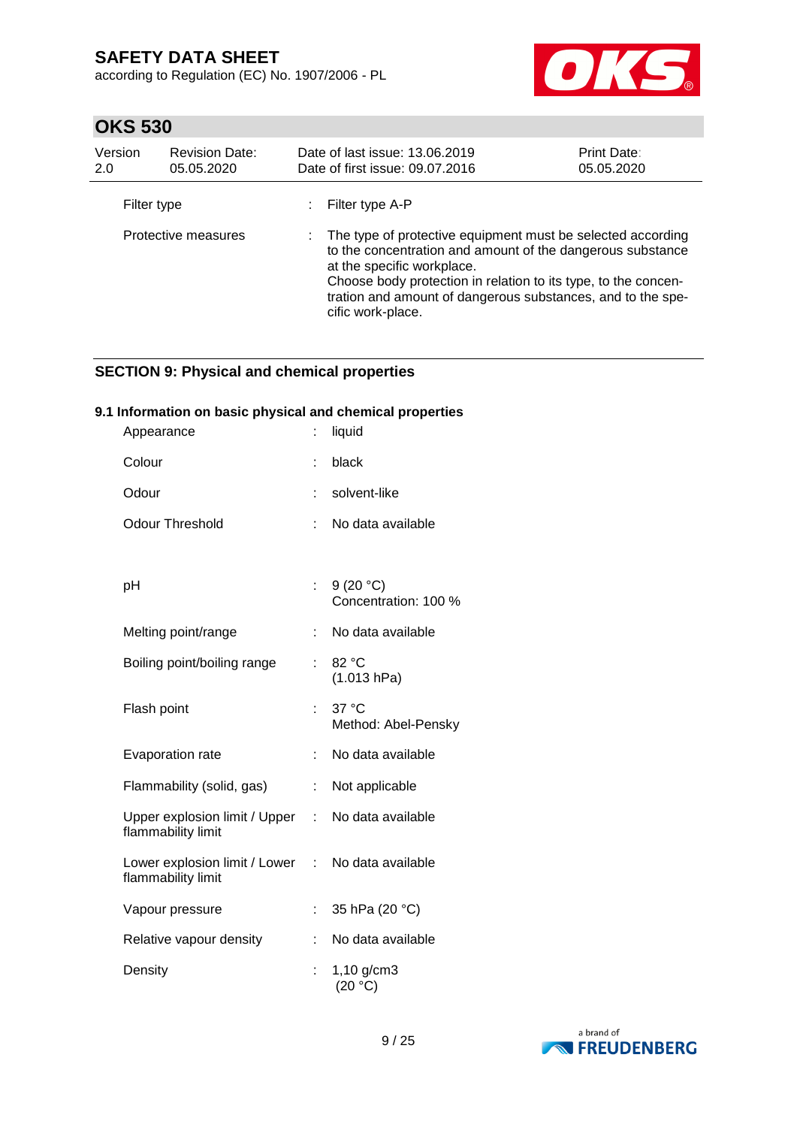according to Regulation (EC) No. 1907/2006 - PL



# **OKS 530**

| Version<br>2.0 | <b>Revision Date:</b><br>05.05.2020 | Date of last issue: 13.06.2019<br>Date of first issue: 09.07.2016                                                                                                                                                                                                                                               | Print Date:<br>05.05.2020 |
|----------------|-------------------------------------|-----------------------------------------------------------------------------------------------------------------------------------------------------------------------------------------------------------------------------------------------------------------------------------------------------------------|---------------------------|
| Filter type    |                                     | Filter type A-P                                                                                                                                                                                                                                                                                                 |                           |
|                | Protective measures                 | : The type of protective equipment must be selected according<br>to the concentration and amount of the dangerous substance<br>at the specific workplace.<br>Choose body protection in relation to its type, to the concen-<br>tration and amount of dangerous substances, and to the spe-<br>cific work-place. |                           |

### **SECTION 9: Physical and chemical properties**

### **9.1 Information on basic physical and chemical properties**

| Appearance                                          |    | liquid                           |
|-----------------------------------------------------|----|----------------------------------|
| Colour                                              |    | black                            |
| Odour                                               |    | solvent-like                     |
| <b>Odour Threshold</b>                              |    | No data available                |
|                                                     |    |                                  |
| рH                                                  |    | 9(20 °C)<br>Concentration: 100 % |
| Melting point/range                                 |    | No data available                |
| Boiling point/boiling range                         |    | 82 °C<br>(1.013 hPa)             |
| Flash point                                         | t. | 37 °C<br>Method: Abel-Pensky     |
| Evaporation rate                                    |    | No data available                |
| Flammability (solid, gas)                           | t. | Not applicable                   |
| Upper explosion limit / Upper<br>flammability limit | ÷  | No data available                |
| Lower explosion limit / Lower<br>flammability limit | t. | No data available                |
| Vapour pressure                                     |    | 35 hPa (20 °C)                   |
| Relative vapour density                             |    | No data available                |
| Density                                             |    | 1,10 g/cm3<br>(20 °C)            |

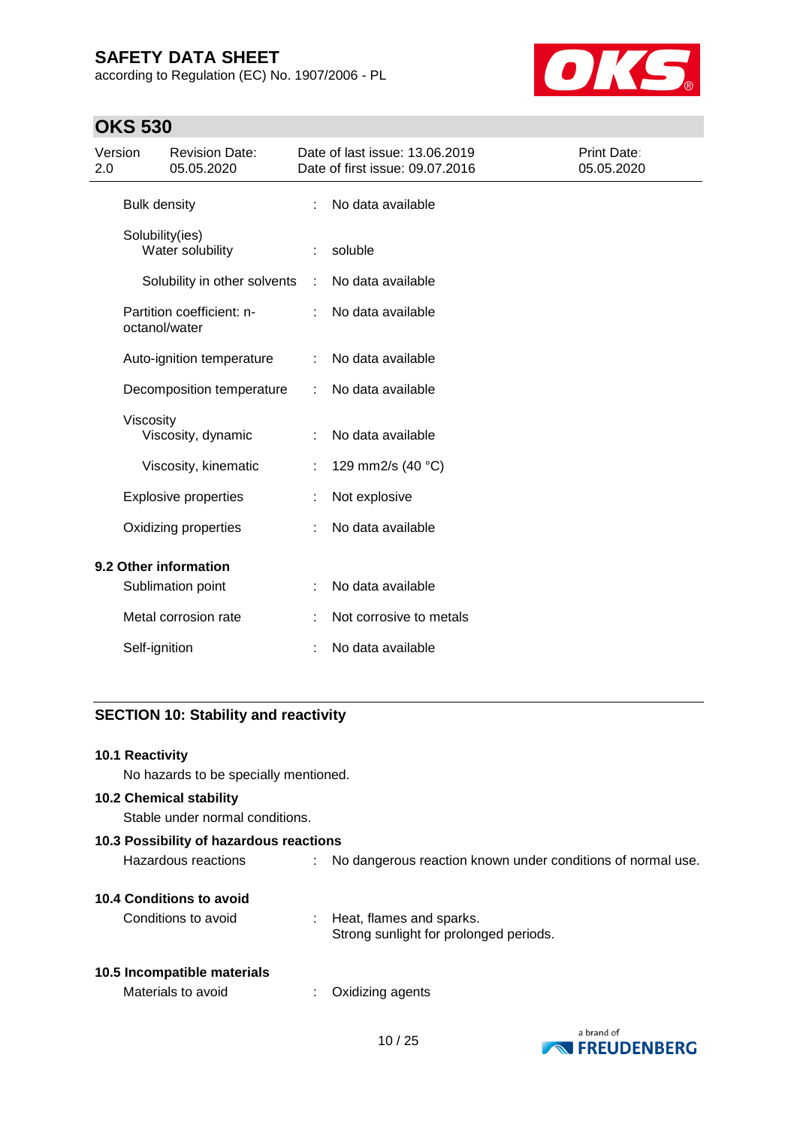according to Regulation (EC) No. 1907/2006 - PL



# **OKS 530**

| Version<br>2.0 |                     | <b>Revision Date:</b><br>05.05.2020 |   | Date of last issue: 13.06.2019<br>Date of first issue: 09.07.2016 | Print Date:<br>05.05.2020 |
|----------------|---------------------|-------------------------------------|---|-------------------------------------------------------------------|---------------------------|
|                | <b>Bulk density</b> |                                     | t | No data available                                                 |                           |
|                | Solubility(ies)     | Water solubility                    |   | soluble                                                           |                           |
|                |                     | Solubility in other solvents        | ÷ | No data available                                                 |                           |
|                | octanol/water       | Partition coefficient: n-           |   | No data available                                                 |                           |
|                |                     | Auto-ignition temperature           | ÷ | No data available                                                 |                           |
|                |                     | Decomposition temperature           |   | No data available                                                 |                           |
|                | Viscosity           | Viscosity, dynamic                  |   | No data available                                                 |                           |
|                |                     | Viscosity, kinematic                |   | 129 mm2/s (40 °C)                                                 |                           |
|                |                     | <b>Explosive properties</b>         |   | Not explosive                                                     |                           |
|                |                     | Oxidizing properties                |   | No data available                                                 |                           |
|                |                     | 9.2 Other information               |   |                                                                   |                           |
|                |                     | Sublimation point                   |   | No data available                                                 |                           |
|                |                     | Metal corrosion rate                |   | Not corrosive to metals                                           |                           |
|                | Self-ignition       |                                     |   | No data available                                                 |                           |

### **SECTION 10: Stability and reactivity**

#### **10.1 Reactivity**

No hazards to be specially mentioned.

## **10.2 Chemical stability**

Stable under normal conditions.

| 10.3 Possibility of hazardous reactions |   |                                                                      |
|-----------------------------------------|---|----------------------------------------------------------------------|
| Hazardous reactions                     | ÷ | No dangerous reaction known under conditions of normal use.          |
| <b>10.4 Conditions to avoid</b>         |   |                                                                      |
| Conditions to avoid                     |   | : Heat, flames and sparks.<br>Strong sunlight for prolonged periods. |
| 10.5 Incompatible materials             |   |                                                                      |
| Materials to avoid                      |   | Oxidizing agents                                                     |

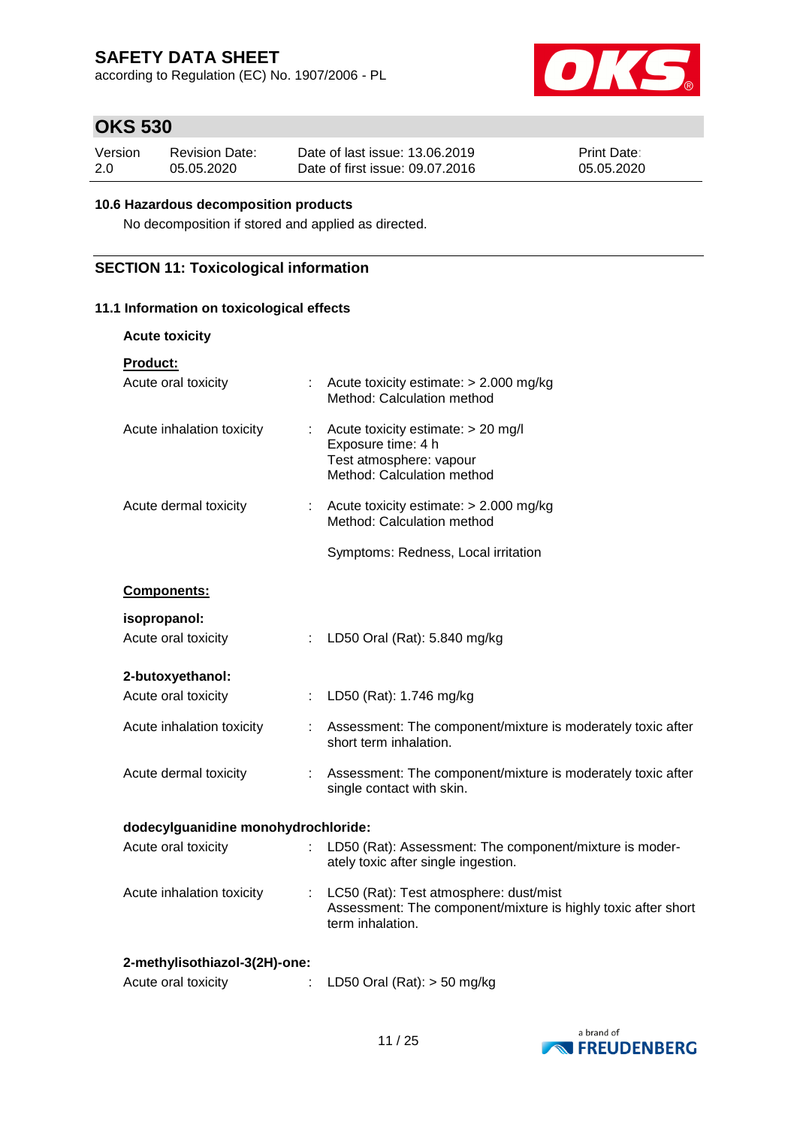according to Regulation (EC) No. 1907/2006 - PL



# **OKS 530**

| Version | Revision Date: | Date of last issue: 13.06.2019  | <b>Print Date:</b> |
|---------|----------------|---------------------------------|--------------------|
| -2.0    | 05.05.2020     | Date of first issue: 09.07.2016 | 05.05.2020         |

### **10.6 Hazardous decomposition products**

No decomposition if stored and applied as directed.

## **SECTION 11: Toxicological information**

### **11.1 Information on toxicological effects**

| <b>Acute toxicity</b>               |                                                                                                                             |  |  |  |  |
|-------------------------------------|-----------------------------------------------------------------------------------------------------------------------------|--|--|--|--|
| <b>Product:</b>                     |                                                                                                                             |  |  |  |  |
| Acute oral toxicity                 | Acute toxicity estimate: > 2.000 mg/kg<br>Method: Calculation method                                                        |  |  |  |  |
| Acute inhalation toxicity<br>÷      | Acute toxicity estimate: > 20 mg/l<br>Exposure time: 4 h<br>Test atmosphere: vapour<br>Method: Calculation method           |  |  |  |  |
| Acute dermal toxicity<br>÷.         | Acute toxicity estimate: > 2.000 mg/kg<br>Method: Calculation method                                                        |  |  |  |  |
|                                     | Symptoms: Redness, Local irritation                                                                                         |  |  |  |  |
| Components:                         |                                                                                                                             |  |  |  |  |
| isopropanol:                        |                                                                                                                             |  |  |  |  |
| Acute oral toxicity<br>÷            | LD50 Oral (Rat): 5.840 mg/kg                                                                                                |  |  |  |  |
| 2-butoxyethanol:                    |                                                                                                                             |  |  |  |  |
| Acute oral toxicity                 | LD50 (Rat): 1.746 mg/kg                                                                                                     |  |  |  |  |
| Acute inhalation toxicity           | Assessment: The component/mixture is moderately toxic after<br>t.<br>short term inhalation.                                 |  |  |  |  |
| Acute dermal toxicity               | Assessment: The component/mixture is moderately toxic after<br>single contact with skin.                                    |  |  |  |  |
| dodecylguanidine monohydrochloride: |                                                                                                                             |  |  |  |  |
| Acute oral toxicity                 | LD50 (Rat): Assessment: The component/mixture is moder-<br>ately toxic after single ingestion.                              |  |  |  |  |
| Acute inhalation toxicity<br>÷.     | LC50 (Rat): Test atmosphere: dust/mist<br>Assessment: The component/mixture is highly toxic after short<br>term inhalation. |  |  |  |  |
| 2-methylisothiazol-3(2H)-one:       |                                                                                                                             |  |  |  |  |

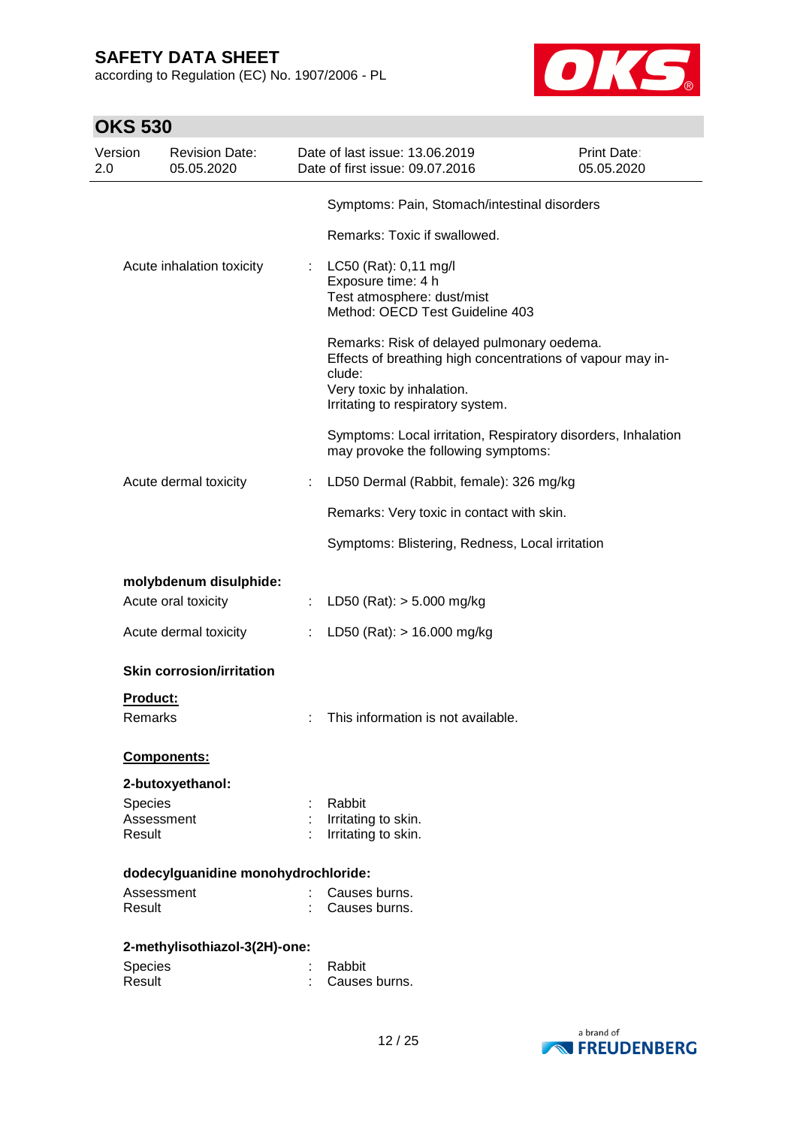according to Regulation (EC) No. 1907/2006 - PL



| <b>OKS 530</b> |                                 |                                     |   |                                                                                                                                                                                      |                                  |
|----------------|---------------------------------|-------------------------------------|---|--------------------------------------------------------------------------------------------------------------------------------------------------------------------------------------|----------------------------------|
| Version<br>2.0 |                                 | <b>Revision Date:</b><br>05.05.2020 |   | Date of last issue: 13.06.2019<br>Date of first issue: 09.07.2016                                                                                                                    | <b>Print Date:</b><br>05.05.2020 |
|                |                                 |                                     |   | Symptoms: Pain, Stomach/intestinal disorders                                                                                                                                         |                                  |
|                |                                 |                                     |   | Remarks: Toxic if swallowed.                                                                                                                                                         |                                  |
|                | Acute inhalation toxicity       |                                     |   | LC50 (Rat): 0,11 mg/l<br>Exposure time: 4 h<br>Test atmosphere: dust/mist<br>Method: OECD Test Guideline 403                                                                         |                                  |
|                |                                 |                                     |   | Remarks: Risk of delayed pulmonary oedema.<br>Effects of breathing high concentrations of vapour may in-<br>clude:<br>Very toxic by inhalation.<br>Irritating to respiratory system. |                                  |
|                |                                 |                                     |   | Symptoms: Local irritation, Respiratory disorders, Inhalation<br>may provoke the following symptoms:                                                                                 |                                  |
|                |                                 | Acute dermal toxicity               |   | LD50 Dermal (Rabbit, female): 326 mg/kg                                                                                                                                              |                                  |
|                |                                 |                                     |   | Remarks: Very toxic in contact with skin.                                                                                                                                            |                                  |
|                |                                 |                                     |   | Symptoms: Blistering, Redness, Local irritation                                                                                                                                      |                                  |
|                |                                 | molybdenum disulphide:              |   |                                                                                                                                                                                      |                                  |
|                |                                 | Acute oral toxicity                 |   | LD50 (Rat): $> 5.000$ mg/kg                                                                                                                                                          |                                  |
|                |                                 | Acute dermal toxicity               | ÷ | LD50 (Rat): $> 16.000$ mg/kg                                                                                                                                                         |                                  |
|                |                                 | <b>Skin corrosion/irritation</b>    |   |                                                                                                                                                                                      |                                  |
|                | <b>Product:</b><br>Remarks      |                                     |   | This information is not available.                                                                                                                                                   |                                  |
|                |                                 | Components:                         |   |                                                                                                                                                                                      |                                  |
|                |                                 | 2-butoxyethanol:                    |   |                                                                                                                                                                                      |                                  |
|                | Species<br>Assessment<br>Result |                                     |   | Rabbit<br>Irritating to skin.<br>Irritating to skin.                                                                                                                                 |                                  |
|                |                                 | dodecylguanidine monohydrochloride: |   |                                                                                                                                                                                      |                                  |
|                | Assessment<br>Result            |                                     |   | Causes burns.<br>Causes burns.                                                                                                                                                       |                                  |
|                |                                 | 2-methylisothiazol-3(2H)-one:       |   |                                                                                                                                                                                      |                                  |
|                | Species<br>Result               |                                     |   | Rabbit<br>Causes burns.                                                                                                                                                              |                                  |

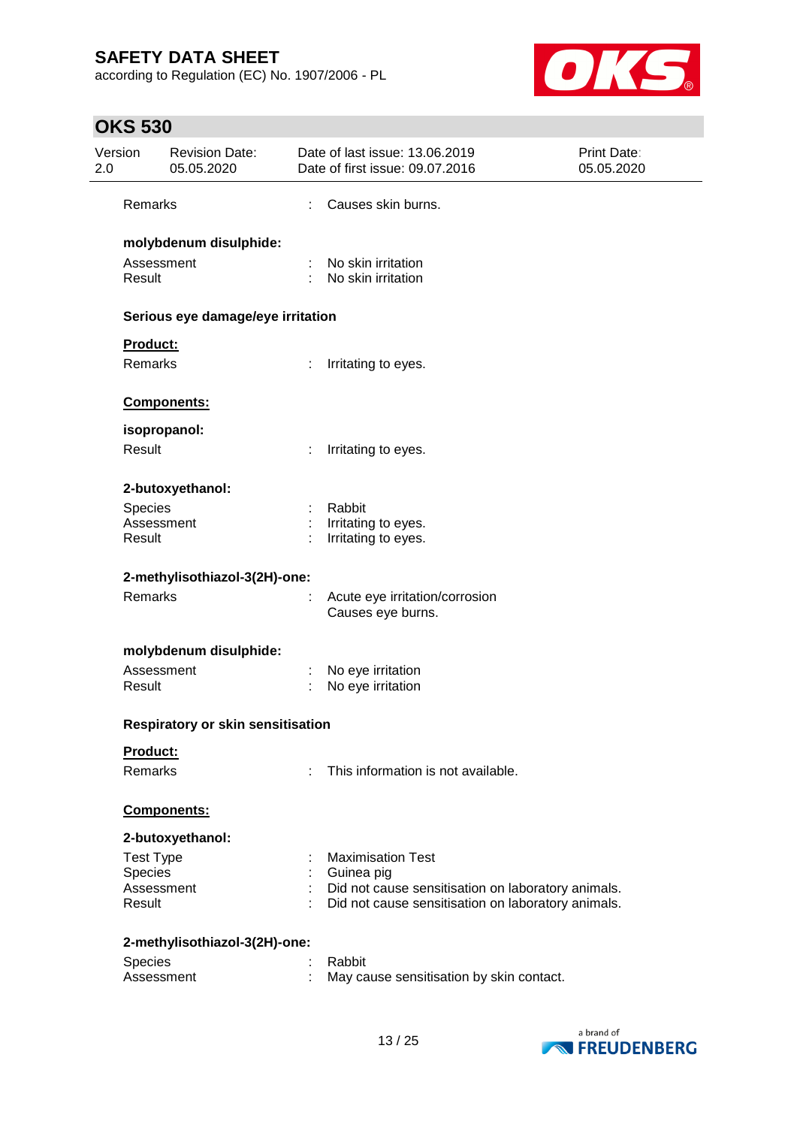according to Regulation (EC) No. 1907/2006 - PL



| Version<br>2.0 | <b>Revision Date:</b><br>05.05.2020      |   | Date of last issue: 13.06.2019<br>Date of first issue: 09.07.2016 | Print Date:<br>05.05.2020 |
|----------------|------------------------------------------|---|-------------------------------------------------------------------|---------------------------|
|                | Remarks                                  |   | Causes skin burns.                                                |                           |
|                | molybdenum disulphide:                   |   |                                                                   |                           |
|                | Assessment<br>Result                     |   | No skin irritation<br>No skin irritation                          |                           |
|                | Serious eye damage/eye irritation        |   |                                                                   |                           |
|                | Product:                                 |   |                                                                   |                           |
|                | Remarks                                  | t | Irritating to eyes.                                               |                           |
|                | Components:                              |   |                                                                   |                           |
|                | isopropanol:                             |   |                                                                   |                           |
|                | Result                                   |   | Irritating to eyes.                                               |                           |
|                | 2-butoxyethanol:                         |   |                                                                   |                           |
|                | <b>Species</b>                           |   | Rabbit                                                            |                           |
|                | Assessment<br>Result                     |   | Irritating to eyes.<br>Irritating to eyes.                        |                           |
|                | 2-methylisothiazol-3(2H)-one:            |   |                                                                   |                           |
|                | <b>Remarks</b>                           |   | Acute eye irritation/corrosion<br>Causes eye burns.               |                           |
|                | molybdenum disulphide:                   |   |                                                                   |                           |
|                | Assessment                               |   | No eye irritation                                                 |                           |
|                | Result                                   |   | No eye irritation                                                 |                           |
|                | <b>Respiratory or skin sensitisation</b> |   |                                                                   |                           |
|                | Product:                                 |   |                                                                   |                           |
|                | Remarks                                  |   | This information is not available.                                |                           |
|                | Components:                              |   |                                                                   |                           |
|                | 2-butoxyethanol:                         |   |                                                                   |                           |
|                | <b>Test Type</b>                         |   | <b>Maximisation Test</b>                                          |                           |
|                | Species<br>Assessment                    |   | Guinea pig<br>Did not cause sensitisation on laboratory animals.  |                           |
|                | Result                                   |   | Did not cause sensitisation on laboratory animals.                |                           |
|                | 2-methylisothiazol-3(2H)-one:            |   |                                                                   |                           |
|                | Species                                  |   | Rabbit                                                            |                           |
|                | Assessment                               | ÷ | May cause sensitisation by skin contact.                          |                           |

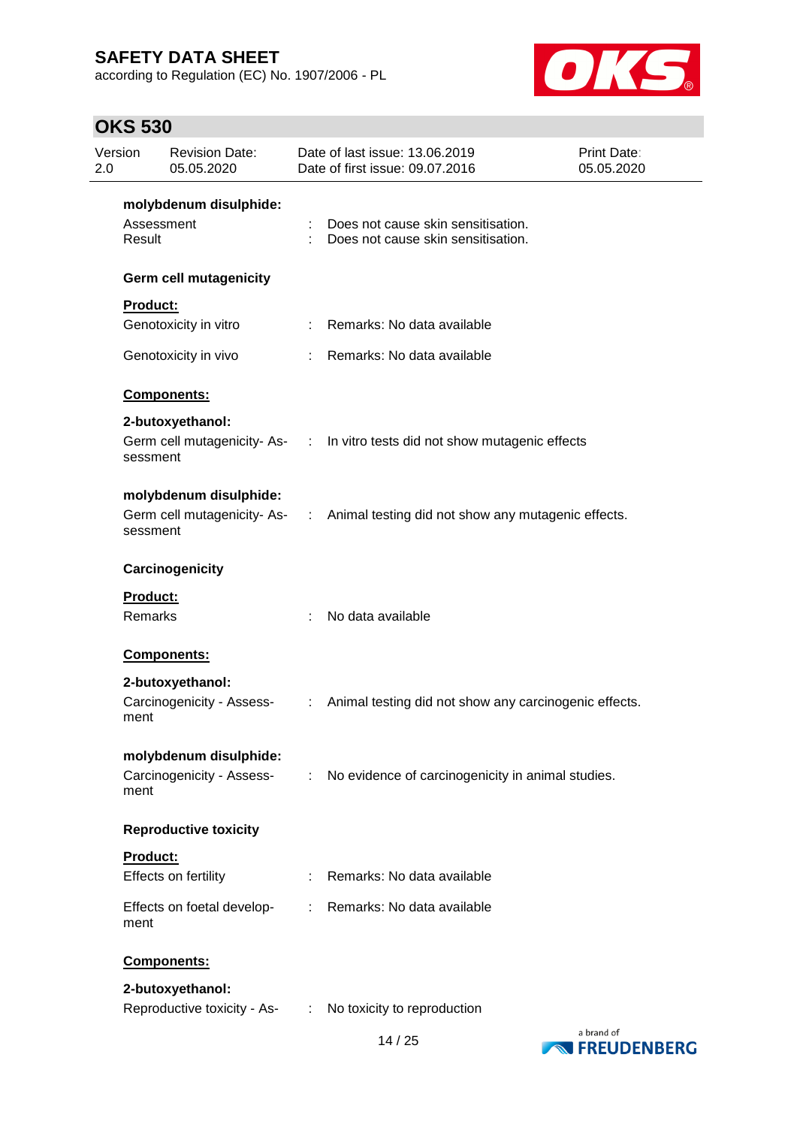according to Regulation (EC) No. 1907/2006 - PL



| Version<br>2.0 |                      | <b>Revision Date:</b><br>05.05.2020 |                             | Date of last issue: 13.06.2019<br>Date of first issue: 09.07.2016               | <b>Print Date:</b><br>05.05.2020 |
|----------------|----------------------|-------------------------------------|-----------------------------|---------------------------------------------------------------------------------|----------------------------------|
|                |                      | molybdenum disulphide:              |                             |                                                                                 |                                  |
|                | Assessment<br>Result |                                     |                             | Does not cause skin sensitisation.<br>Does not cause skin sensitisation.        |                                  |
|                |                      | <b>Germ cell mutagenicity</b>       |                             |                                                                                 |                                  |
|                | <b>Product:</b>      |                                     |                             |                                                                                 |                                  |
|                |                      | Genotoxicity in vitro               | t.                          | Remarks: No data available                                                      |                                  |
|                |                      | Genotoxicity in vivo                |                             | Remarks: No data available                                                      |                                  |
|                |                      | Components:                         |                             |                                                                                 |                                  |
|                |                      | 2-butoxyethanol:                    |                             |                                                                                 |                                  |
|                | sessment             |                                     |                             | Germ cell mutagenicity-As- : In vitro tests did not show mutagenic effects      |                                  |
|                |                      | molybdenum disulphide:              |                             |                                                                                 |                                  |
|                | sessment             |                                     |                             | Germ cell mutagenicity-As- : Animal testing did not show any mutagenic effects. |                                  |
|                |                      | Carcinogenicity                     |                             |                                                                                 |                                  |
|                | <b>Product:</b>      |                                     |                             |                                                                                 |                                  |
|                | Remarks              |                                     | ÷.                          | No data available                                                               |                                  |
|                |                      | Components:                         |                             |                                                                                 |                                  |
|                |                      | 2-butoxyethanol:                    |                             |                                                                                 |                                  |
|                | ment                 | Carcinogenicity - Assess-           | ÷                           | Animal testing did not show any carcinogenic effects.                           |                                  |
|                |                      | molybdenum disulphide:              |                             |                                                                                 |                                  |
|                | ment                 | Carcinogenicity - Assess-           | $\mathcal{L}^{\mathcal{L}}$ | No evidence of carcinogenicity in animal studies.                               |                                  |
|                |                      | <b>Reproductive toxicity</b>        |                             |                                                                                 |                                  |
|                | Product:             |                                     |                             |                                                                                 |                                  |
|                |                      | Effects on fertility                |                             | : Remarks: No data available                                                    |                                  |
|                | ment                 | Effects on foetal develop-          | t.                          | Remarks: No data available                                                      |                                  |
|                |                      | Components:                         |                             |                                                                                 |                                  |
|                |                      | 2-butoxyethanol:                    |                             |                                                                                 |                                  |
|                |                      | Reproductive toxicity - As-         | ÷.                          | No toxicity to reproduction                                                     |                                  |
|                |                      |                                     |                             |                                                                                 | a hrand of                       |

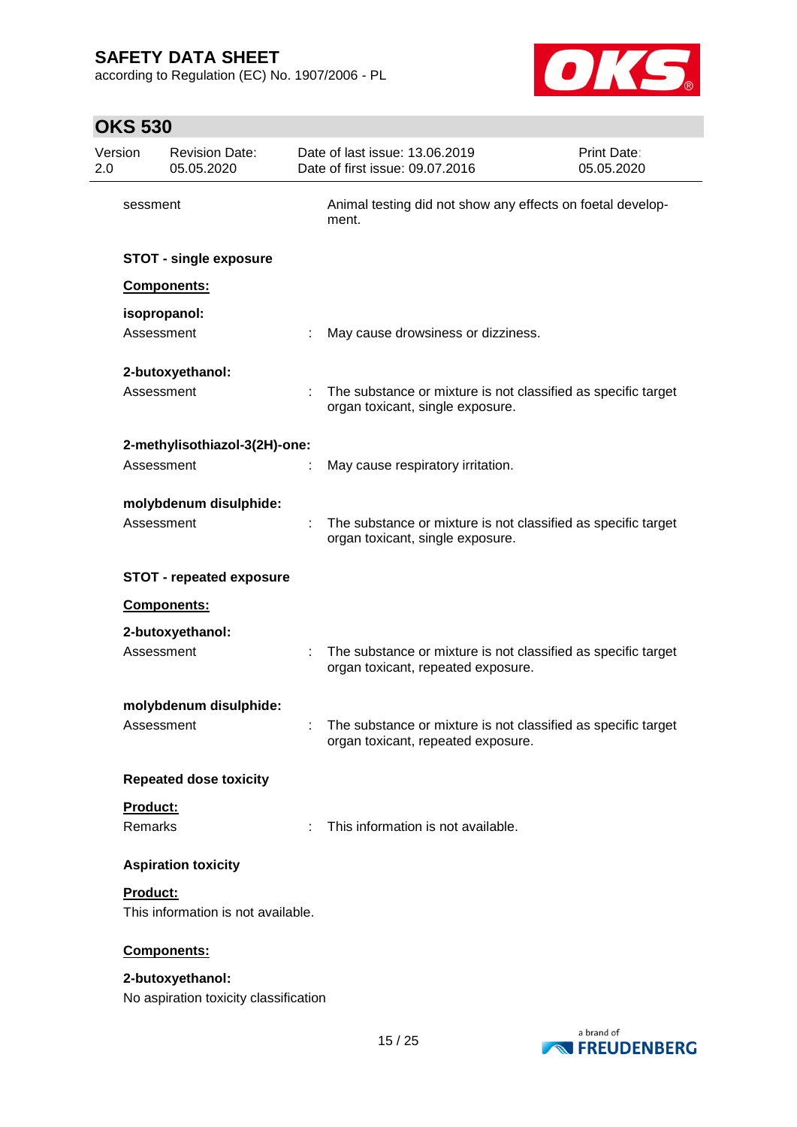according to Regulation (EC) No. 1907/2006 - PL



| Version<br>2.0 | <b>Revision Date:</b><br>05.05.2020                       |    | Date of last issue: 13.06.2019<br>Date of first issue: 09.07.2016                                   | <b>Print Date:</b><br>05.05.2020 |
|----------------|-----------------------------------------------------------|----|-----------------------------------------------------------------------------------------------------|----------------------------------|
| sessment       |                                                           |    | Animal testing did not show any effects on foetal develop-<br>ment.                                 |                                  |
|                | <b>STOT - single exposure</b>                             |    |                                                                                                     |                                  |
|                | Components:                                               |    |                                                                                                     |                                  |
|                | isopropanol:                                              |    |                                                                                                     |                                  |
|                | Assessment                                                |    | May cause drowsiness or dizziness.                                                                  |                                  |
|                | 2-butoxyethanol:                                          |    |                                                                                                     |                                  |
|                | Assessment                                                |    | The substance or mixture is not classified as specific target<br>organ toxicant, single exposure.   |                                  |
|                | 2-methylisothiazol-3(2H)-one:                             |    |                                                                                                     |                                  |
|                | Assessment                                                |    | May cause respiratory irritation.                                                                   |                                  |
|                | molybdenum disulphide:                                    |    |                                                                                                     |                                  |
|                | Assessment                                                |    | The substance or mixture is not classified as specific target<br>organ toxicant, single exposure.   |                                  |
|                | <b>STOT - repeated exposure</b>                           |    |                                                                                                     |                                  |
|                | Components:                                               |    |                                                                                                     |                                  |
|                | 2-butoxyethanol:                                          |    |                                                                                                     |                                  |
|                | Assessment                                                |    | The substance or mixture is not classified as specific target<br>organ toxicant, repeated exposure. |                                  |
|                | molybdenum disulphide:                                    |    |                                                                                                     |                                  |
|                | Assessment                                                |    | The substance or mixture is not classified as specific target<br>organ toxicant, repeated exposure. |                                  |
|                | <b>Repeated dose toxicity</b>                             |    |                                                                                                     |                                  |
| Product:       |                                                           |    |                                                                                                     |                                  |
| Remarks        |                                                           | ÷. | This information is not available.                                                                  |                                  |
|                | <b>Aspiration toxicity</b>                                |    |                                                                                                     |                                  |
| Product:       |                                                           |    |                                                                                                     |                                  |
|                | This information is not available.                        |    |                                                                                                     |                                  |
|                | Components:                                               |    |                                                                                                     |                                  |
|                | 2-butoxyethanol:<br>No aspiration toxicity classification |    |                                                                                                     |                                  |

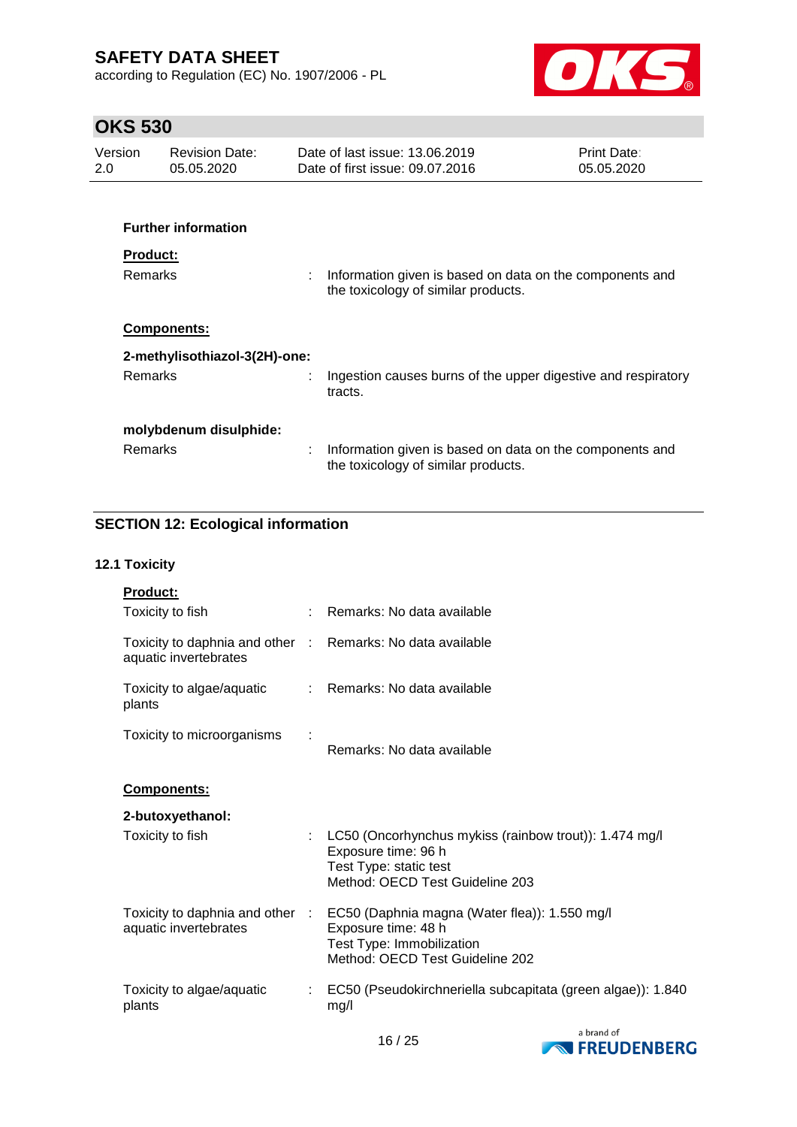according to Regulation (EC) No. 1907/2006 - PL



# **OKS 530**

| Version<br>$2.0^{\circ}$ | <b>Revision Date:</b><br>05.05.2020 |   | Date of last issue: 13.06.2019<br>Date of first issue: 09.07.2016                               | Print Date:<br>05.05.2020 |
|--------------------------|-------------------------------------|---|-------------------------------------------------------------------------------------------------|---------------------------|
|                          |                                     |   |                                                                                                 |                           |
|                          | <b>Further information</b>          |   |                                                                                                 |                           |
| <b>Product:</b>          |                                     |   |                                                                                                 |                           |
| <b>Remarks</b>           |                                     |   | Information given is based on data on the components and<br>the toxicology of similar products. |                           |
|                          | <b>Components:</b>                  |   |                                                                                                 |                           |
|                          | 2-methylisothiazol-3(2H)-one:       |   |                                                                                                 |                           |
| <b>Remarks</b>           |                                     |   | Ingestion causes burns of the upper digestive and respiratory<br>tracts.                        |                           |
|                          | molybdenum disulphide:              |   |                                                                                                 |                           |
| <b>Remarks</b>           |                                     | ÷ | Information given is based on data on the components and<br>the toxicology of similar products. |                           |

## **SECTION 12: Ecological information**

### **12.1 Toxicity**

| <b>Product:</b>                                                                     |                                                                                                                                              |
|-------------------------------------------------------------------------------------|----------------------------------------------------------------------------------------------------------------------------------------------|
| Toxicity to fish                                                                    | Remarks: No data available                                                                                                                   |
| Toxicity to daphnia and other : Remarks: No data available<br>aquatic invertebrates |                                                                                                                                              |
| Toxicity to algae/aquatic<br>plants                                                 | : Remarks: No data available                                                                                                                 |
| Toxicity to microorganisms                                                          | Remarks: No data available                                                                                                                   |
| <b>Components:</b>                                                                  |                                                                                                                                              |
| 2-butoxyethanol:                                                                    |                                                                                                                                              |
| Toxicity to fish                                                                    | : LC50 (Oncorhynchus mykiss (rainbow trout)): 1.474 mg/l<br>Exposure time: 96 h<br>Test Type: static test<br>Method: OECD Test Guideline 203 |
| Toxicity to daphnia and other :<br>aquatic invertebrates                            | EC50 (Daphnia magna (Water flea)): 1.550 mg/l<br>Exposure time: 48 h<br>Test Type: Immobilization<br>Method: OECD Test Guideline 202         |
| Toxicity to algae/aquatic<br>plants                                                 | EC50 (Pseudokirchneriella subcapitata (green algae)): 1.840<br>mg/l                                                                          |

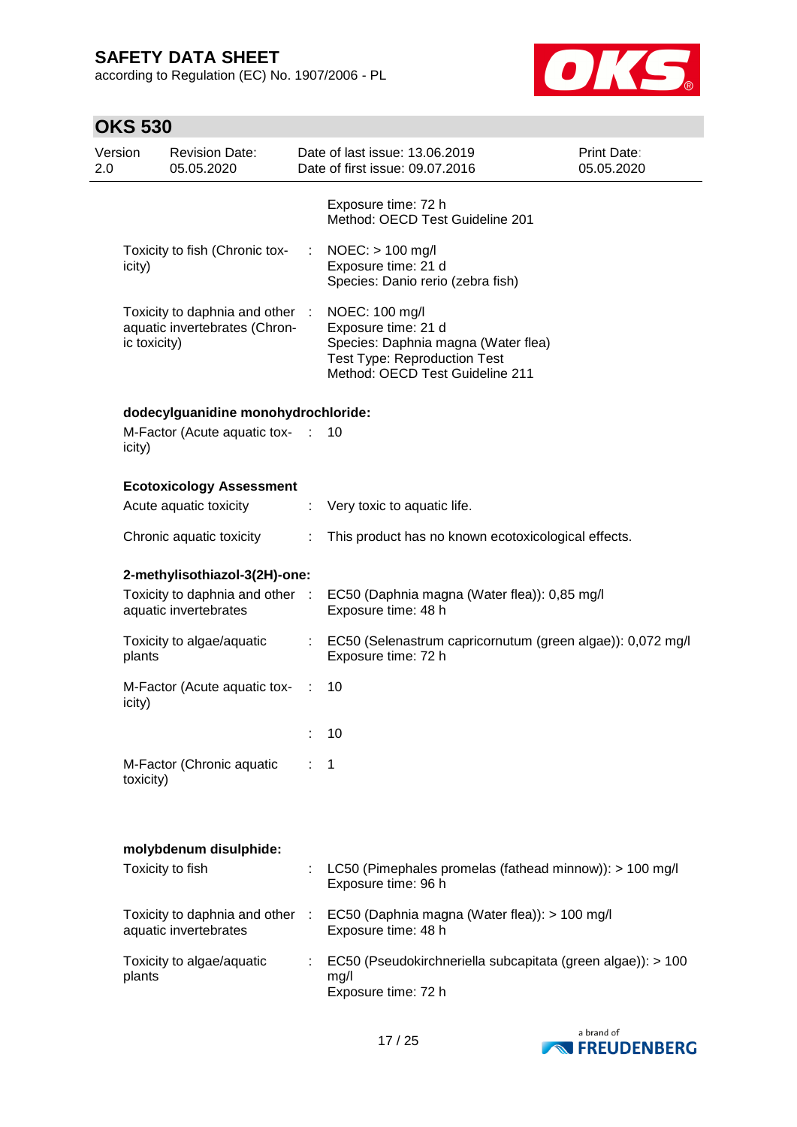according to Regulation (EC) No. 1907/2006 - PL



| Version<br>2.0 |              | <b>Revision Date:</b><br>05.05.2020                              |                               | Date of last issue: 13.06.2019<br>Date of first issue: 09.07.2016                                                                                      | <b>Print Date:</b><br>05.05.2020 |
|----------------|--------------|------------------------------------------------------------------|-------------------------------|--------------------------------------------------------------------------------------------------------------------------------------------------------|----------------------------------|
|                |              |                                                                  |                               | Exposure time: 72 h<br>Method: OECD Test Guideline 201                                                                                                 |                                  |
|                | icity)       | Toxicity to fish (Chronic tox-                                   | ÷.                            | $NOEC:$ > 100 mg/l<br>Exposure time: 21 d<br>Species: Danio rerio (zebra fish)                                                                         |                                  |
|                | ic toxicity) | Toxicity to daphnia and other :<br>aquatic invertebrates (Chron- |                               | NOEC: 100 mg/l<br>Exposure time: 21 d<br>Species: Daphnia magna (Water flea)<br><b>Test Type: Reproduction Test</b><br>Method: OECD Test Guideline 211 |                                  |
|                |              | dodecylguanidine monohydrochloride:                              |                               |                                                                                                                                                        |                                  |
|                | icity)       | M-Factor (Acute aquatic tox- :                                   |                               | 10                                                                                                                                                     |                                  |
|                |              | <b>Ecotoxicology Assessment</b>                                  |                               |                                                                                                                                                        |                                  |
|                |              | Acute aquatic toxicity                                           | $\mathcal{L}^{\mathcal{L}}$   | Very toxic to aquatic life.                                                                                                                            |                                  |
|                |              | Chronic aquatic toxicity                                         | $\mathcal{I}^{\mathcal{I}}$ . | This product has no known ecotoxicological effects.                                                                                                    |                                  |
|                |              | 2-methylisothiazol-3(2H)-one:                                    |                               |                                                                                                                                                        |                                  |
|                |              | Toxicity to daphnia and other :<br>aquatic invertebrates         |                               | EC50 (Daphnia magna (Water flea)): 0,85 mg/l<br>Exposure time: 48 h                                                                                    |                                  |
|                | plants       | Toxicity to algae/aquatic                                        |                               | : EC50 (Selenastrum capricornutum (green algae)): 0,072 mg/l<br>Exposure time: 72 h                                                                    |                                  |
|                | icity)       | M-Factor (Acute aquatic tox-                                     | ÷                             | 10                                                                                                                                                     |                                  |
|                |              |                                                                  |                               | 10                                                                                                                                                     |                                  |
|                | toxicity)    | M-Factor (Chronic aquatic                                        | $\therefore$ 1                |                                                                                                                                                        |                                  |
|                |              |                                                                  |                               |                                                                                                                                                        |                                  |
|                |              | molybdenum disulphide:<br>Toxicity to fish                       |                               | LC50 (Pimephales promelas (fathead minnow)): > 100 mg/l<br>Exposure time: 96 h                                                                         |                                  |
|                |              | Toxicity to daphnia and other :<br>aquatic invertebrates         |                               | EC50 (Daphnia magna (Water flea)): > 100 mg/l<br>Exposure time: 48 h                                                                                   |                                  |
|                | plants       | Toxicity to algae/aquatic                                        |                               | EC50 (Pseudokirchneriella subcapitata (green algae)): > 100<br>mg/l<br>Exposure time: 72 h                                                             |                                  |

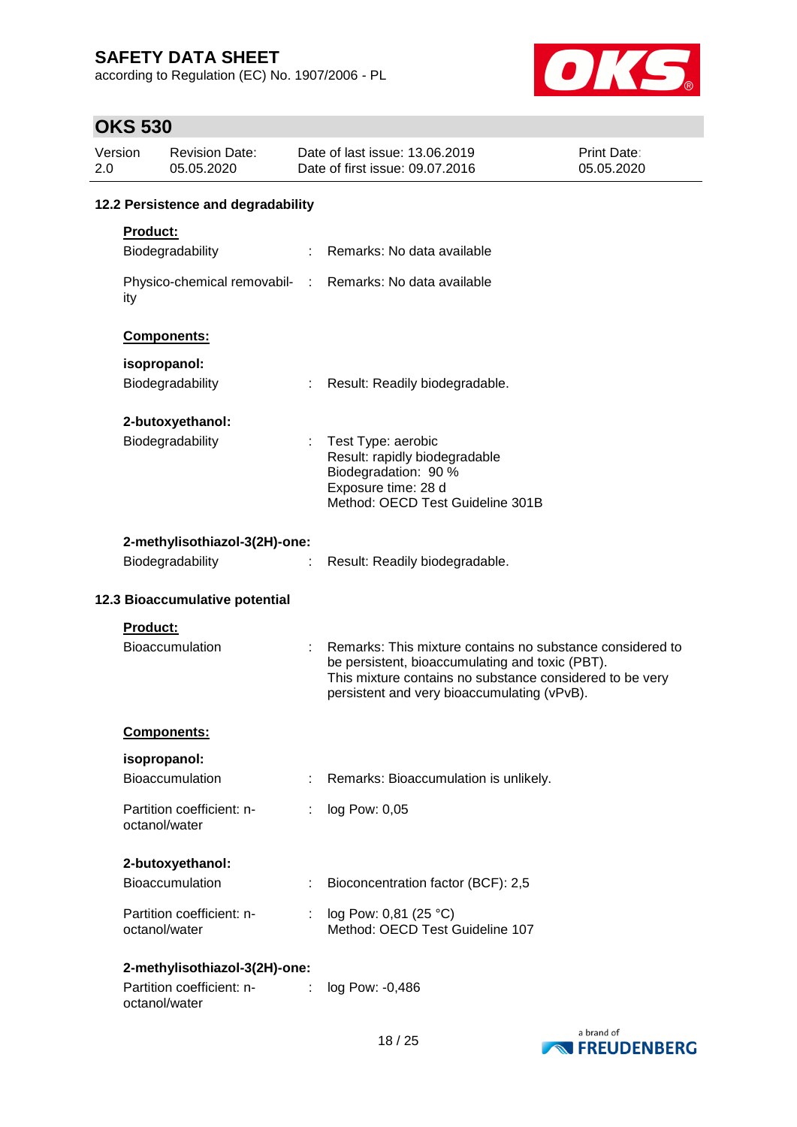according to Regulation (EC) No. 1907/2006 - PL



| Version<br>2.0                |                                            | <b>Revision Date:</b><br>05.05.2020        |   | Date of last issue: 13.06.2019<br>Date of first issue: 09.07.2016                                                                                                                                                       | Print Date:<br>05.05.2020 |  |
|-------------------------------|--------------------------------------------|--------------------------------------------|---|-------------------------------------------------------------------------------------------------------------------------------------------------------------------------------------------------------------------------|---------------------------|--|
|                               | 12.2 Persistence and degradability         |                                            |   |                                                                                                                                                                                                                         |                           |  |
|                               | Product:                                   |                                            |   |                                                                                                                                                                                                                         |                           |  |
|                               |                                            | Biodegradability                           |   | : Remarks: No data available                                                                                                                                                                                            |                           |  |
|                               | ity                                        |                                            |   | Physico-chemical removabil- : Remarks: No data available                                                                                                                                                                |                           |  |
|                               |                                            | Components:                                |   |                                                                                                                                                                                                                         |                           |  |
|                               |                                            | isopropanol:                               |   |                                                                                                                                                                                                                         |                           |  |
|                               |                                            | Biodegradability                           | ÷ | Result: Readily biodegradable.                                                                                                                                                                                          |                           |  |
|                               |                                            | 2-butoxyethanol:                           |   |                                                                                                                                                                                                                         |                           |  |
|                               |                                            | Biodegradability                           |   | : Test Type: aerobic<br>Result: rapidly biodegradable<br>Biodegradation: 90 %<br>Exposure time: 28 d<br>Method: OECD Test Guideline 301B                                                                                |                           |  |
| 2-methylisothiazol-3(2H)-one: |                                            |                                            |   |                                                                                                                                                                                                                         |                           |  |
|                               |                                            | Biodegradability                           | ÷ | Result: Readily biodegradable.                                                                                                                                                                                          |                           |  |
|                               |                                            | 12.3 Bioaccumulative potential             |   |                                                                                                                                                                                                                         |                           |  |
|                               | Product:                                   |                                            |   |                                                                                                                                                                                                                         |                           |  |
|                               |                                            | <b>Bioaccumulation</b>                     |   | Remarks: This mixture contains no substance considered to<br>be persistent, bioaccumulating and toxic (PBT).<br>This mixture contains no substance considered to be very<br>persistent and very bioaccumulating (vPvB). |                           |  |
|                               |                                            | <b>Components:</b>                         |   |                                                                                                                                                                                                                         |                           |  |
|                               |                                            | isopropanol:                               |   |                                                                                                                                                                                                                         |                           |  |
|                               |                                            | <b>Bioaccumulation</b>                     |   | Remarks: Bioaccumulation is unlikely.                                                                                                                                                                                   |                           |  |
|                               |                                            | Partition coefficient: n-<br>octanol/water | ÷ | log Pow: 0,05                                                                                                                                                                                                           |                           |  |
|                               |                                            | 2-butoxyethanol:                           |   |                                                                                                                                                                                                                         |                           |  |
|                               |                                            | Bioaccumulation                            |   | Bioconcentration factor (BCF): 2,5                                                                                                                                                                                      |                           |  |
|                               | Partition coefficient: n-<br>octanol/water |                                            | ÷ | log Pow: 0,81 (25 °C)<br>Method: OECD Test Guideline 107                                                                                                                                                                |                           |  |
|                               |                                            | 2-methylisothiazol-3(2H)-one:              |   |                                                                                                                                                                                                                         |                           |  |
|                               |                                            | Partition coefficient: n-<br>octanol/water | ÷ | log Pow: -0,486                                                                                                                                                                                                         |                           |  |

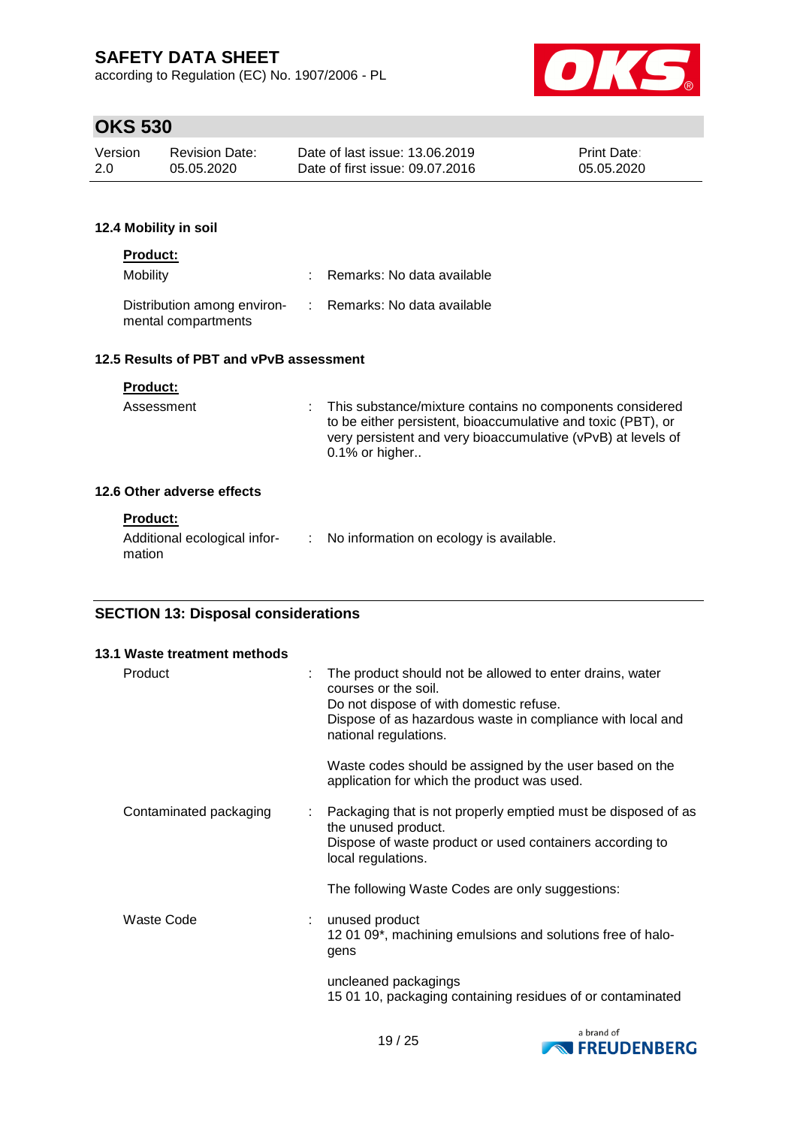according to Regulation (EC) No. 1907/2006 - PL



# **OKS 530**

| Version | Revision Date: | Date of last issue: 13.06.2019  | <b>Print Date:</b> |
|---------|----------------|---------------------------------|--------------------|
| 2.0     | 05.05.2020     | Date of first issue: 09.07.2016 | 05.05.2020         |

### **12.4 Mobility in soil**

| <b>Product:</b><br>Mobility                                                     | : Remarks: No data available |
|---------------------------------------------------------------------------------|------------------------------|
| Distribution among environ- : Remarks: No data available<br>mental compartments |                              |

## **12.5 Results of PBT and vPvB assessment**

#### **Product:**

| Assessment              | : This substance/mixture contains no components considered<br>to be either persistent, bioaccumulative and toxic (PBT), or<br>very persistent and very bioaccumulative (vPvB) at levels of<br>$0.1\%$ or higher |
|-------------------------|-----------------------------------------------------------------------------------------------------------------------------------------------------------------------------------------------------------------|
| : Othar advaraa affaata |                                                                                                                                                                                                                 |

## **12.6 Other adverse effects**

| <b>Product:</b>                        |                                           |
|----------------------------------------|-------------------------------------------|
| Additional ecological infor-<br>mation | : No information on ecology is available. |

### **SECTION 13: Disposal considerations**

| 13.1 Waste treatment methods |                            |                                                                                                                                                                                                                    |  |
|------------------------------|----------------------------|--------------------------------------------------------------------------------------------------------------------------------------------------------------------------------------------------------------------|--|
| Product                      |                            | The product should not be allowed to enter drains, water<br>courses or the soil.<br>Do not dispose of with domestic refuse.<br>Dispose of as hazardous waste in compliance with local and<br>national regulations. |  |
|                              |                            | Waste codes should be assigned by the user based on the<br>application for which the product was used.                                                                                                             |  |
| Contaminated packaging       |                            | Packaging that is not properly emptied must be disposed of as<br>the unused product.<br>Dispose of waste product or used containers according to<br>local regulations.                                             |  |
|                              |                            | The following Waste Codes are only suggestions:                                                                                                                                                                    |  |
| <b>Waste Code</b>            | $\mathcal{L}^{\text{max}}$ | unused product<br>12 01 09*, machining emulsions and solutions free of halo-<br>gens                                                                                                                               |  |
|                              |                            | uncleaned packagings<br>15 01 10, packaging containing residues of or contaminated                                                                                                                                 |  |

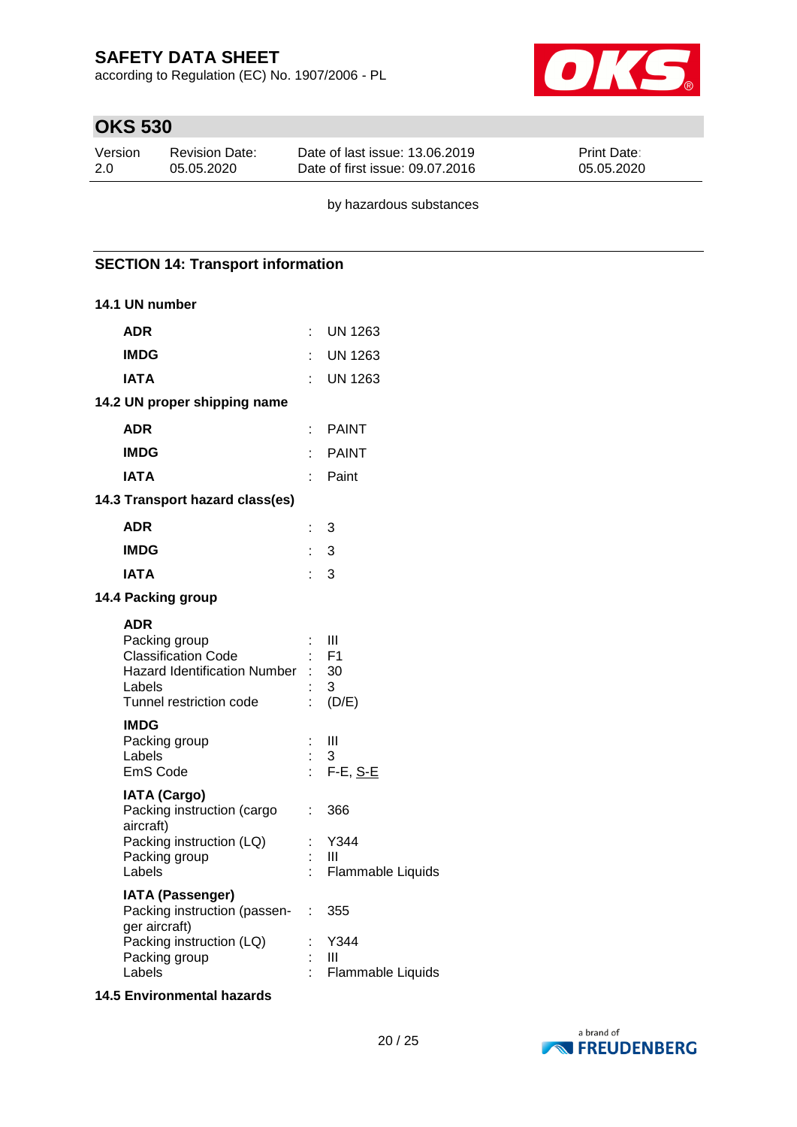according to Regulation (EC) No. 1907/2006 - PL



# **OKS 530**

| Version | <b>Revision Date:</b> | Date of last issue: 13.06.2019  | <b>Print Date:</b> |
|---------|-----------------------|---------------------------------|--------------------|
| 2.0     | 05.05.2020            | Date of first issue: 09.07.2016 | 05.05.2020         |

by hazardous substances

### **SECTION 14: Transport information**

#### **14.1 UN number**

| <b>ADR</b>                                                                                                                            | ÷        | <b>UN 1263</b>                          |
|---------------------------------------------------------------------------------------------------------------------------------------|----------|-----------------------------------------|
| <b>IMDG</b>                                                                                                                           |          | <b>UN 1263</b>                          |
| <b>IATA</b>                                                                                                                           |          | <b>UN 1263</b>                          |
| 14.2 UN proper shipping name                                                                                                          |          |                                         |
| <b>ADR</b>                                                                                                                            | ł.       | <b>PAINT</b>                            |
| <b>IMDG</b>                                                                                                                           |          | <b>PAINT</b>                            |
| IATA                                                                                                                                  |          | Paint                                   |
| 14.3 Transport hazard class(es)                                                                                                       |          |                                         |
| <b>ADR</b>                                                                                                                            | ÷        | 3                                       |
| <b>IMDG</b>                                                                                                                           | ł.       | 3                                       |
| <b>IATA</b>                                                                                                                           | t.       | 3                                       |
| 14.4 Packing group                                                                                                                    |          |                                         |
| <b>ADR</b><br>Packing group<br><b>Classification Code</b><br><b>Hazard Identification Number</b><br>Labels<br>Tunnel restriction code |          | Ш<br>F <sub>1</sub><br>30<br>3<br>(D/E) |
| <b>IMDG</b><br>Packing group<br>Labels<br>EmS Code                                                                                    | ł,<br>ł. | Ш<br>3<br>$F-E$ , S-E                   |
| <b>IATA (Cargo)</b><br>Packing instruction (cargo<br>aircraft)<br>Packing instruction (LQ)<br>Packing group<br>Labels                 | ÷<br>÷.  | 366<br>Y344<br>Ш<br>Flammable Liquids   |
| <b>IATA (Passenger)</b><br>Packing instruction (passen-<br>ger aircraft)                                                              | t.       | 355                                     |
| Packing instruction (LQ)<br>Packing group                                                                                             | Ì.       | Y344<br>Ш                               |
| Labels                                                                                                                                |          | Flammable Liquids                       |

#### **14.5 Environmental hazards**

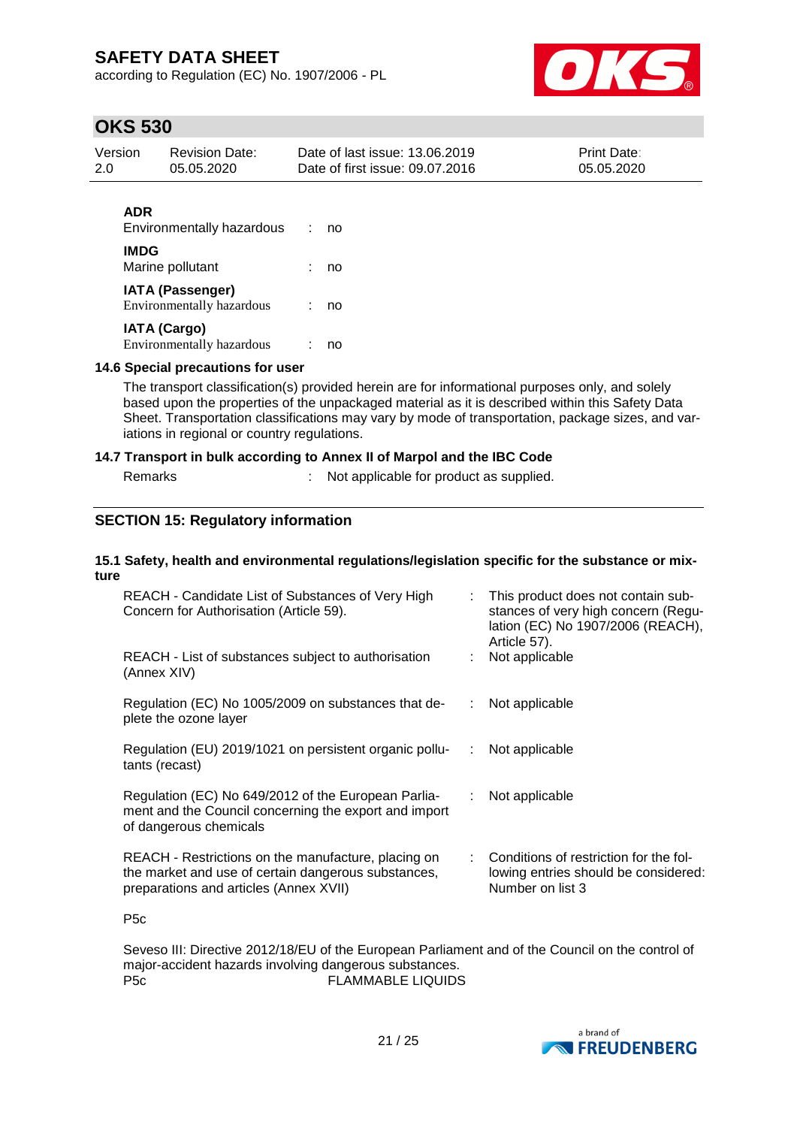according to Regulation (EC) No. 1907/2006 - PL



## **OKS 530**

| Version    | <b>Revision Date:</b> | Date of last issue: 13.06.2019  | <b>Print Date:</b> |
|------------|-----------------------|---------------------------------|--------------------|
| -2.0       | 05.05.2020            | Date of first issue: 09.07.2016 | 05.05.2020         |
| <b>ADR</b> |                       |                                 |                    |

| ---<br>Environmentally hazardous                     | no |
|------------------------------------------------------|----|
| <b>IMDG</b><br>Marine pollutant                      | no |
| <b>IATA (Passenger)</b><br>Environmentally hazardous | no |
| <b>IATA (Cargo)</b><br>Environmentally hazardous     |    |

#### **14.6 Special precautions for user**

The transport classification(s) provided herein are for informational purposes only, and solely based upon the properties of the unpackaged material as it is described within this Safety Data Sheet. Transportation classifications may vary by mode of transportation, package sizes, and variations in regional or country regulations.

#### **14.7 Transport in bulk according to Annex II of Marpol and the IBC Code**

| Remarks | Not applicable for product as supplied. |
|---------|-----------------------------------------|
|         |                                         |

### **SECTION 15: Regulatory information**

#### **15.1 Safety, health and environmental regulations/legislation specific for the substance or mixture**

| REACH - Candidate List of Substances of Very High<br>Concern for Authorisation (Article 59).                                                         | This product does not contain sub-<br>stances of very high concern (Regu-<br>lation (EC) No 1907/2006 (REACH),<br>Article 57). |
|------------------------------------------------------------------------------------------------------------------------------------------------------|--------------------------------------------------------------------------------------------------------------------------------|
| REACH - List of substances subject to authorisation<br>(Annex XIV)                                                                                   | Not applicable                                                                                                                 |
| Regulation (EC) No 1005/2009 on substances that de-<br>plete the ozone layer                                                                         | Not applicable                                                                                                                 |
| Regulation (EU) 2019/1021 on persistent organic pollu-<br>tants (recast)                                                                             | Not applicable                                                                                                                 |
| Regulation (EC) No 649/2012 of the European Parlia-<br>ment and the Council concerning the export and import<br>of dangerous chemicals               | Not applicable                                                                                                                 |
| REACH - Restrictions on the manufacture, placing on<br>the market and use of certain dangerous substances,<br>preparations and articles (Annex XVII) | Conditions of restriction for the fol-<br>lowing entries should be considered:<br>Number on list 3                             |

P5c

Seveso III: Directive 2012/18/EU of the European Parliament and of the Council on the control of major-accident hazards involving dangerous substances. P5c **FLAMMABLE LIQUIDS** 

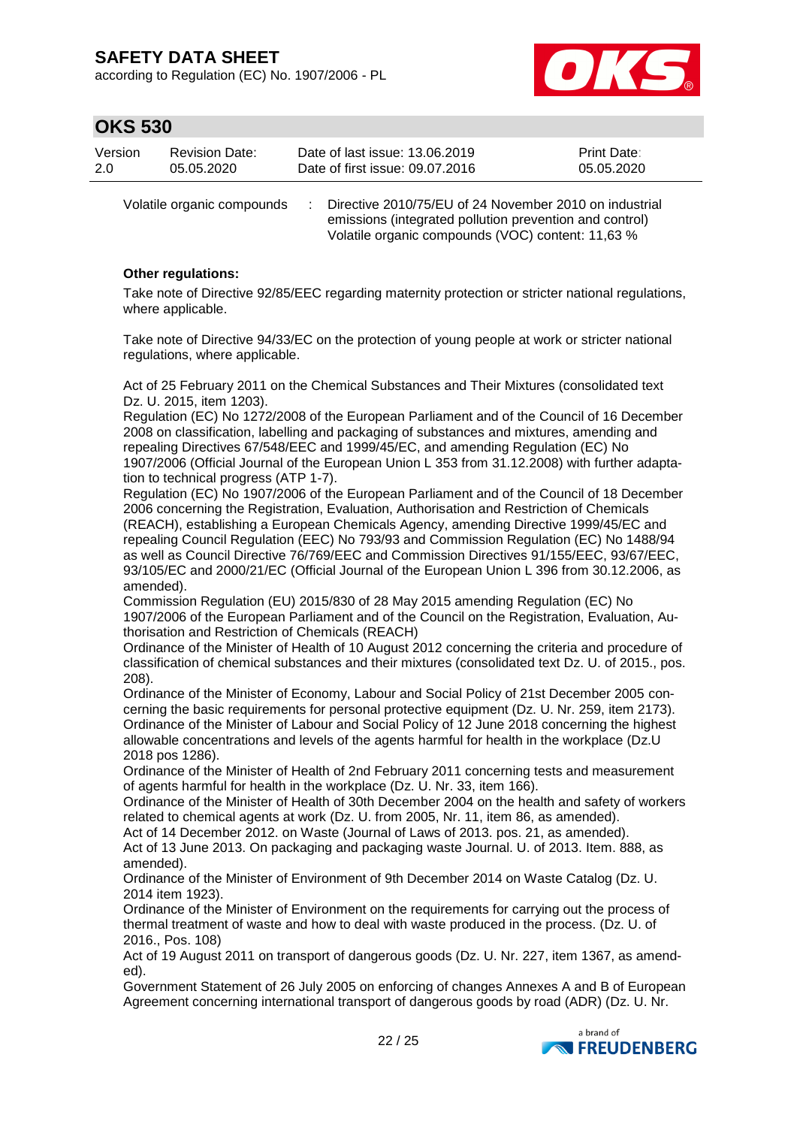according to Regulation (EC) No. 1907/2006 - PL



## **OKS 530**

| Version | <b>Revision Date:</b> | Date of last issue: 13.06.2019  | <b>Print Date:</b> |
|---------|-----------------------|---------------------------------|--------------------|
| 2.0     | 05.05.2020            | Date of first issue: 09.07.2016 | 05.05.2020         |
|         |                       |                                 |                    |

Volatile organic compounds : Directive 2010/75/EU of 24 November 2010 on industrial emissions (integrated pollution prevention and control) Volatile organic compounds (VOC) content: 11,63 %

### **Other regulations:**

Take note of Directive 92/85/EEC regarding maternity protection or stricter national regulations, where applicable.

Take note of Directive 94/33/EC on the protection of young people at work or stricter national regulations, where applicable.

Act of 25 February 2011 on the Chemical Substances and Their Mixtures (consolidated text Dz. U. 2015, item 1203).

Regulation (EC) No 1272/2008 of the European Parliament and of the Council of 16 December 2008 on classification, labelling and packaging of substances and mixtures, amending and repealing Directives 67/548/EEC and 1999/45/EC, and amending Regulation (EC) No 1907/2006 (Official Journal of the European Union L 353 from 31.12.2008) with further adaptation to technical progress (ATP 1-7).

Regulation (EC) No 1907/2006 of the European Parliament and of the Council of 18 December 2006 concerning the Registration, Evaluation, Authorisation and Restriction of Chemicals (REACH), establishing a European Chemicals Agency, amending Directive 1999/45/EC and repealing Council Regulation (EEC) No 793/93 and Commission Regulation (EC) No 1488/94 as well as Council Directive 76/769/EEC and Commission Directives 91/155/EEC, 93/67/EEC, 93/105/EC and 2000/21/EC (Official Journal of the European Union L 396 from 30.12.2006, as amended).

Commission Regulation (EU) 2015/830 of 28 May 2015 amending Regulation (EC) No 1907/2006 of the European Parliament and of the Council on the Registration, Evaluation, Authorisation and Restriction of Chemicals (REACH)

Ordinance of the Minister of Health of 10 August 2012 concerning the criteria and procedure of classification of chemical substances and their mixtures (consolidated text Dz. U. of 2015., pos. 208).

Ordinance of the Minister of Economy, Labour and Social Policy of 21st December 2005 concerning the basic requirements for personal protective equipment (Dz. U. Nr. 259, item 2173). Ordinance of the Minister of Labour and Social Policy of 12 June 2018 concerning the highest allowable concentrations and levels of the agents harmful for health in the workplace (Dz.U 2018 pos 1286).

Ordinance of the Minister of Health of 2nd February 2011 concerning tests and measurement of agents harmful for health in the workplace (Dz. U. Nr. 33, item 166).

Ordinance of the Minister of Health of 30th December 2004 on the health and safety of workers related to chemical agents at work (Dz. U. from 2005, Nr. 11, item 86, as amended).

Act of 14 December 2012. on Waste (Journal of Laws of 2013. pos. 21, as amended). Act of 13 June 2013. On packaging and packaging waste Journal. U. of 2013. Item. 888, as amended).

Ordinance of the Minister of Environment of 9th December 2014 on Waste Catalog (Dz. U. 2014 item 1923).

Ordinance of the Minister of Environment on the requirements for carrying out the process of thermal treatment of waste and how to deal with waste produced in the process. (Dz. U. of 2016., Pos. 108)

Act of 19 August 2011 on transport of dangerous goods (Dz. U. Nr. 227, item 1367, as amended).

Government Statement of 26 July 2005 on enforcing of changes Annexes A and B of European Agreement concerning international transport of dangerous goods by road (ADR) (Dz. U. Nr.

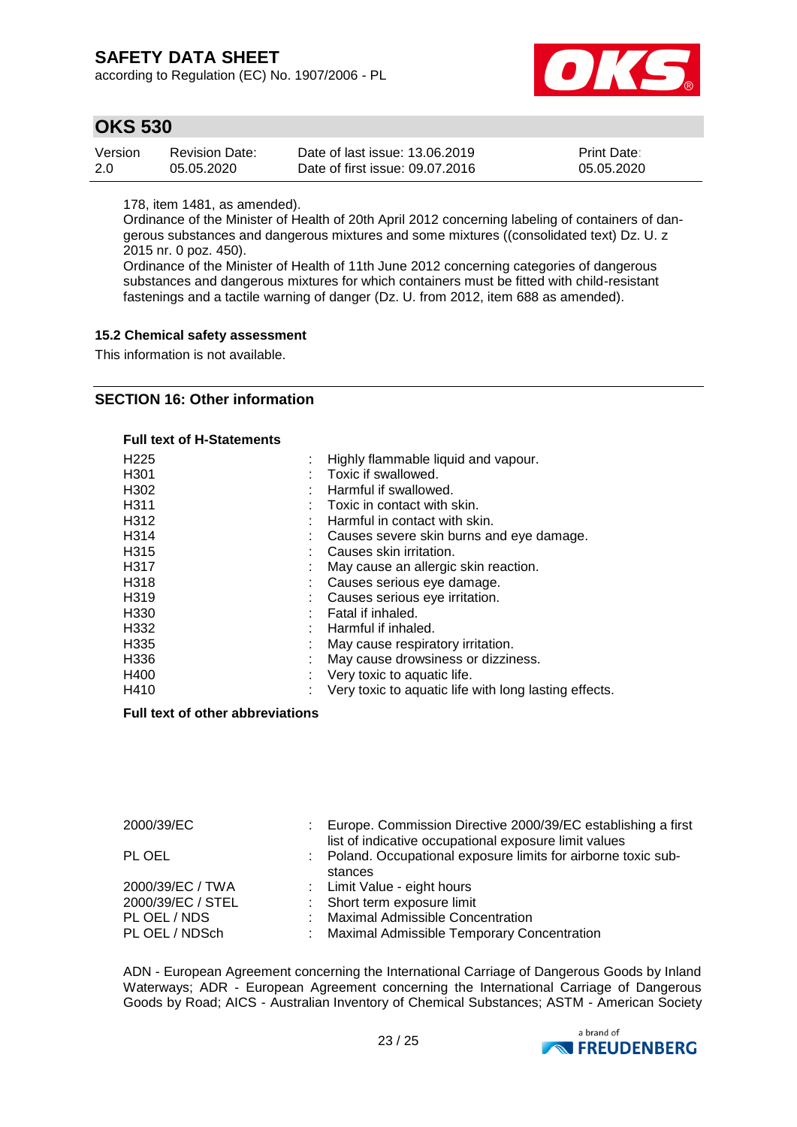according to Regulation (EC) No. 1907/2006 - PL



## **OKS 530**

| Version | Revision Date: | Date of last issue: 13.06.2019  | <b>Print Date:</b> |
|---------|----------------|---------------------------------|--------------------|
| -2.0    | 05.05.2020     | Date of first issue: 09.07.2016 | 05.05.2020         |

178, item 1481, as amended).

Ordinance of the Minister of Health of 20th April 2012 concerning labeling of containers of dangerous substances and dangerous mixtures and some mixtures ((consolidated text) Dz. U. z 2015 nr. 0 poz. 450).

Ordinance of the Minister of Health of 11th June 2012 concerning categories of dangerous substances and dangerous mixtures for which containers must be fitted with child-resistant fastenings and a tactile warning of danger (Dz. U. from 2012, item 688 as amended).

### **15.2 Chemical safety assessment**

This information is not available.

## **SECTION 16: Other information**

#### **Full text of H-Statements**

| H <sub>225</sub>  | Highly flammable liquid and vapour.                   |
|-------------------|-------------------------------------------------------|
| H <sub>301</sub>  | Toxic if swallowed.                                   |
| H <sub>302</sub>  | Harmful if swallowed.                                 |
| H <sub>3</sub> 11 | Toxic in contact with skin.                           |
| H312              | Harmful in contact with skin.                         |
| H <sub>3</sub> 14 | Causes severe skin burns and eye damage.              |
| H <sub>315</sub>  | Causes skin irritation.                               |
| H317              | May cause an allergic skin reaction.                  |
| H318              | Causes serious eye damage.                            |
| H <sub>319</sub>  | Causes serious eye irritation.                        |
| H <sub>330</sub>  | Fatal if inhaled.                                     |
| H332              | Harmful if inhaled.                                   |
| H <sub>335</sub>  | May cause respiratory irritation.                     |
| H <sub>336</sub>  | May cause drowsiness or dizziness.                    |
| H400              | Very toxic to aquatic life.                           |
| H410              | Very toxic to aquatic life with long lasting effects. |

### **Full text of other abbreviations**

| 2000/39/EC<br>PL OEL                                                    | ÷ | Europe. Commission Directive 2000/39/EC establishing a first<br>list of indicative occupational exposure limit values<br>: Poland. Occupational exposure limits for airborne toxic sub-<br>stances |
|-------------------------------------------------------------------------|---|----------------------------------------------------------------------------------------------------------------------------------------------------------------------------------------------------|
| 2000/39/EC / TWA<br>2000/39/EC / STEL<br>PL OEL / NDS<br>PL OEL / NDSch | ÷ | : Limit Value - eight hours<br>: Short term exposure limit<br><b>Maximal Admissible Concentration</b><br>Maximal Admissible Temporary Concentration                                                |

ADN - European Agreement concerning the International Carriage of Dangerous Goods by Inland Waterways; ADR - European Agreement concerning the International Carriage of Dangerous Goods by Road; AICS - Australian Inventory of Chemical Substances; ASTM - American Society

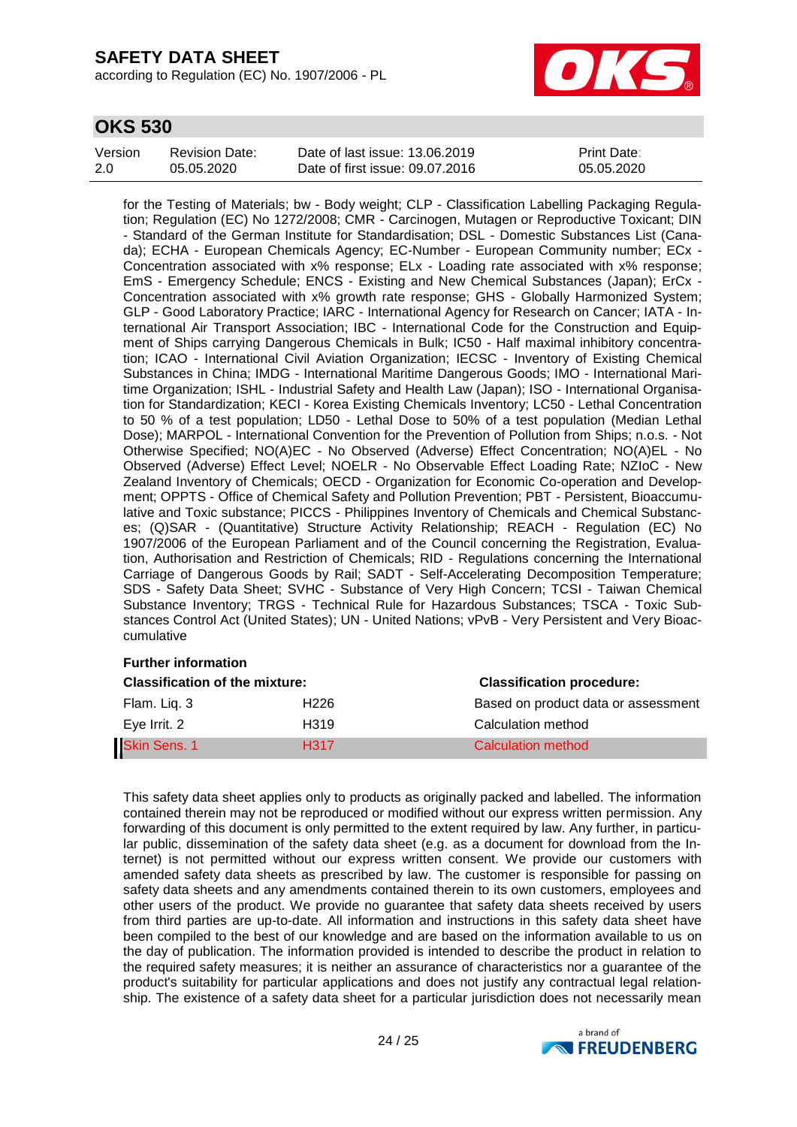according to Regulation (EC) No. 1907/2006 - PL



## **OKS 530**

| Version | Revision Date: | Date of last issue: 13.06.2019  | <b>Print Date:</b> |
|---------|----------------|---------------------------------|--------------------|
| 2.0     | 05.05.2020     | Date of first issue: 09.07.2016 | 05.05.2020         |

for the Testing of Materials; bw - Body weight; CLP - Classification Labelling Packaging Regulation; Regulation (EC) No 1272/2008; CMR - Carcinogen, Mutagen or Reproductive Toxicant; DIN - Standard of the German Institute for Standardisation; DSL - Domestic Substances List (Canada); ECHA - European Chemicals Agency; EC-Number - European Community number; ECx - Concentration associated with x% response; ELx - Loading rate associated with x% response; EmS - Emergency Schedule; ENCS - Existing and New Chemical Substances (Japan); ErCx - Concentration associated with x% growth rate response; GHS - Globally Harmonized System; GLP - Good Laboratory Practice; IARC - International Agency for Research on Cancer; IATA - International Air Transport Association; IBC - International Code for the Construction and Equipment of Ships carrying Dangerous Chemicals in Bulk; IC50 - Half maximal inhibitory concentration; ICAO - International Civil Aviation Organization; IECSC - Inventory of Existing Chemical Substances in China; IMDG - International Maritime Dangerous Goods; IMO - International Maritime Organization; ISHL - Industrial Safety and Health Law (Japan); ISO - International Organisation for Standardization; KECI - Korea Existing Chemicals Inventory; LC50 - Lethal Concentration to 50 % of a test population; LD50 - Lethal Dose to 50% of a test population (Median Lethal Dose); MARPOL - International Convention for the Prevention of Pollution from Ships; n.o.s. - Not Otherwise Specified; NO(A)EC - No Observed (Adverse) Effect Concentration; NO(A)EL - No Observed (Adverse) Effect Level; NOELR - No Observable Effect Loading Rate; NZIoC - New Zealand Inventory of Chemicals; OECD - Organization for Economic Co-operation and Development; OPPTS - Office of Chemical Safety and Pollution Prevention; PBT - Persistent, Bioaccumulative and Toxic substance; PICCS - Philippines Inventory of Chemicals and Chemical Substances; (Q)SAR - (Quantitative) Structure Activity Relationship; REACH - Regulation (EC) No 1907/2006 of the European Parliament and of the Council concerning the Registration, Evaluation, Authorisation and Restriction of Chemicals; RID - Regulations concerning the International Carriage of Dangerous Goods by Rail; SADT - Self-Accelerating Decomposition Temperature; SDS - Safety Data Sheet; SVHC - Substance of Very High Concern; TCSI - Taiwan Chemical Substance Inventory; TRGS - Technical Rule for Hazardous Substances; TSCA - Toxic Substances Control Act (United States); UN - United Nations; vPvB - Very Persistent and Very Bioaccumulative

#### **Further information**

| <b>Classification of the mixture:</b> |                  | <b>Classification procedure:</b>    |
|---------------------------------------|------------------|-------------------------------------|
| Flam. Lig. 3                          | H <sub>226</sub> | Based on product data or assessment |
| Eye Irrit. 2                          | H319             | Calculation method                  |
| Skin Sens. 1                          | H <sub>317</sub> | Calculation method                  |

This safety data sheet applies only to products as originally packed and labelled. The information contained therein may not be reproduced or modified without our express written permission. Any forwarding of this document is only permitted to the extent required by law. Any further, in particular public, dissemination of the safety data sheet (e.g. as a document for download from the Internet) is not permitted without our express written consent. We provide our customers with amended safety data sheets as prescribed by law. The customer is responsible for passing on safety data sheets and any amendments contained therein to its own customers, employees and other users of the product. We provide no guarantee that safety data sheets received by users from third parties are up-to-date. All information and instructions in this safety data sheet have been compiled to the best of our knowledge and are based on the information available to us on the day of publication. The information provided is intended to describe the product in relation to the required safety measures; it is neither an assurance of characteristics nor a guarantee of the product's suitability for particular applications and does not justify any contractual legal relationship. The existence of a safety data sheet for a particular jurisdiction does not necessarily mean